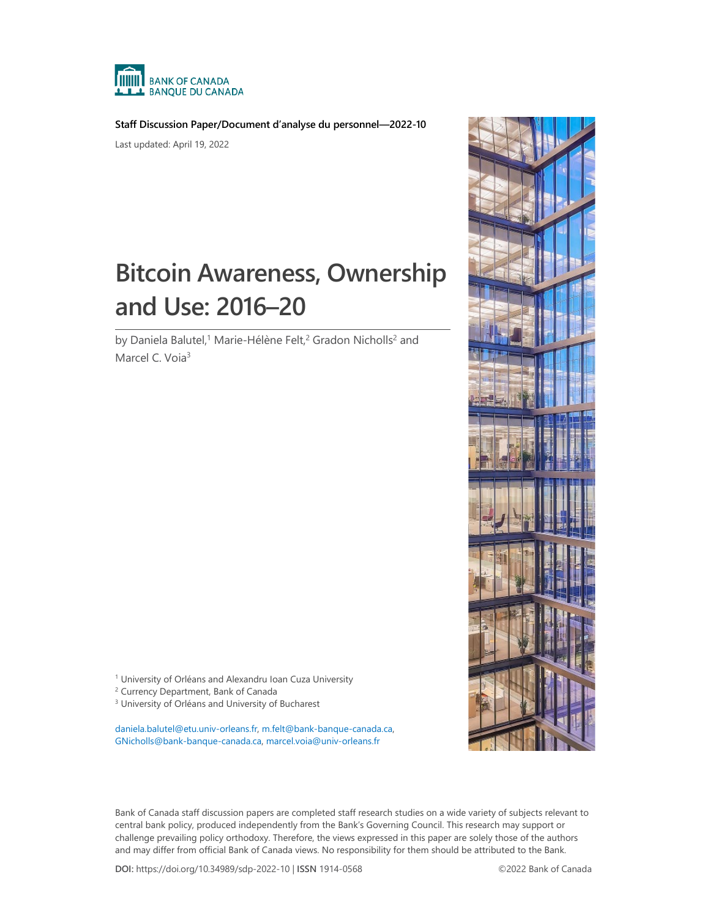

**Staff Discussion Paper/Document d'analyse du personnel—2022-10**

Last updated: April 19, 2022

# **Bitcoin Awareness, Ownership and Use: 2016–20**

by Daniela Balutel,<sup>1</sup> Marie-Hélène Felt,<sup>2</sup> Gradon Nicholls<sup>2</sup> and Marcel C. Voia<sup>3</sup>

<sup>1</sup> University of Orléans and Alexandru Ioan Cuza University

<sup>2</sup> Currency Department, Bank of Canada

<sup>3</sup> University of Orléans and University of Bucharest

[daniela.balutel@etu.univ-orleans.fr,](mailto:daniela.balutel@etu.univ-orleans.fr) [m.felt@bank-banque-canada.ca,](mailto:m.felt@bank-banque-canada.ca)  [GNicholls@bank-banque-canada.ca,](mailto:GNicholls@bank-banque-canada.ca) [marcel.voia@univ-orleans.fr](mailto:marcel.voia@univ-orleans.fr)

Bank of Canada staff discussion papers are completed staff research studies on a wide variety of subjects relevant to central bank policy, produced independently from the Bank's Governing Council. This research may support or challenge prevailing policy orthodoxy. Therefore, the views expressed in this paper are solely those of the authors and may differ from official Bank of Canada views. No responsibility for them should be attributed to the Bank.

**DOI:** https://doi.org/10.34989/sdp-2022-10 | **ISSN** 1914-0568 ©2022 Bank of Canada

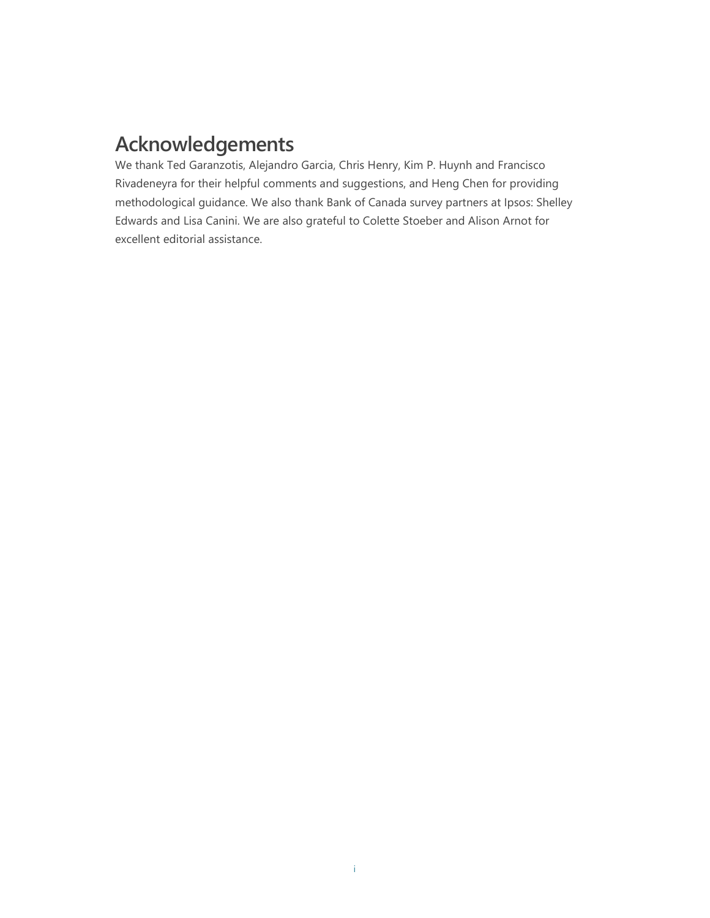# **Acknowledgements**

We thank Ted Garanzotis, Alejandro Garcia, Chris Henry, Kim P. Huynh and Francisco Rivadeneyra for their helpful comments and suggestions, and Heng Chen for providing methodological guidance. We also thank Bank of Canada survey partners at Ipsos: Shelley Edwards and Lisa Canini. We are also grateful to Colette Stoeber and Alison Arnot for excellent editorial assistance.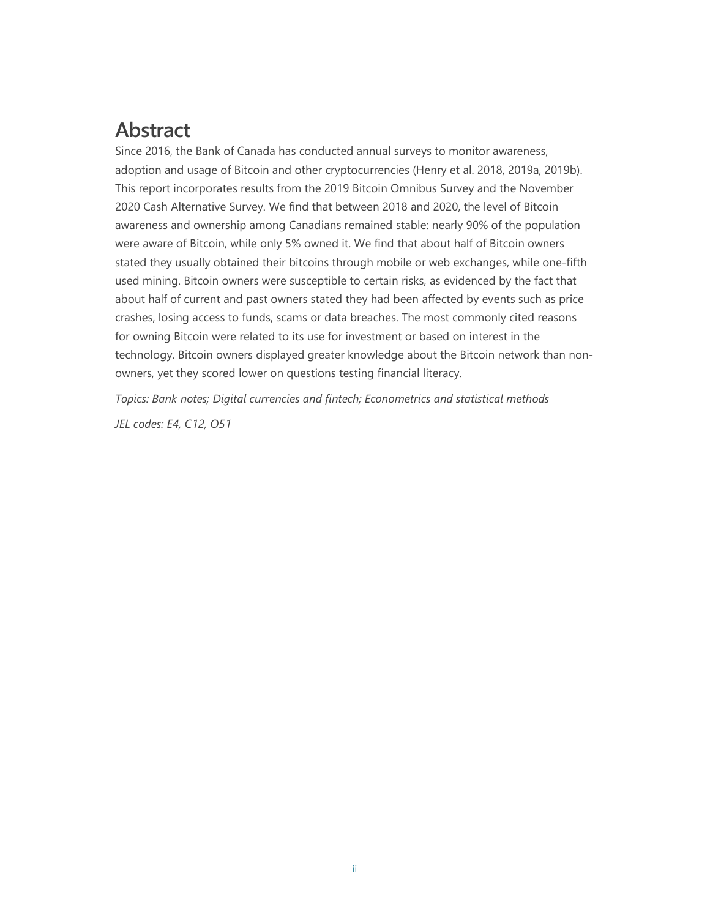# **Abstract**

Since 2016, the Bank of Canada has conducted annual surveys to monitor awareness, adoption and usage of Bitcoin and other cryptocurrencies (Henry et al. 2018, 2019a, 2019b). This report incorporates results from the 2019 Bitcoin Omnibus Survey and the November 2020 Cash Alternative Survey. We find that between 2018 and 2020, the level of Bitcoin awareness and ownership among Canadians remained stable: nearly 90% of the population were aware of Bitcoin, while only 5% owned it. We find that about half of Bitcoin owners stated they usually obtained their bitcoins through mobile or web exchanges, while one-fifth used mining. Bitcoin owners were susceptible to certain risks, as evidenced by the fact that about half of current and past owners stated they had been affected by events such as price crashes, losing access to funds, scams or data breaches. The most commonly cited reasons for owning Bitcoin were related to its use for investment or based on interest in the technology. Bitcoin owners displayed greater knowledge about the Bitcoin network than nonowners, yet they scored lower on questions testing financial literacy.

*Topics: Bank notes; Digital currencies and fintech; Econometrics and statistical methods*

*JEL codes: E4, C12, O51*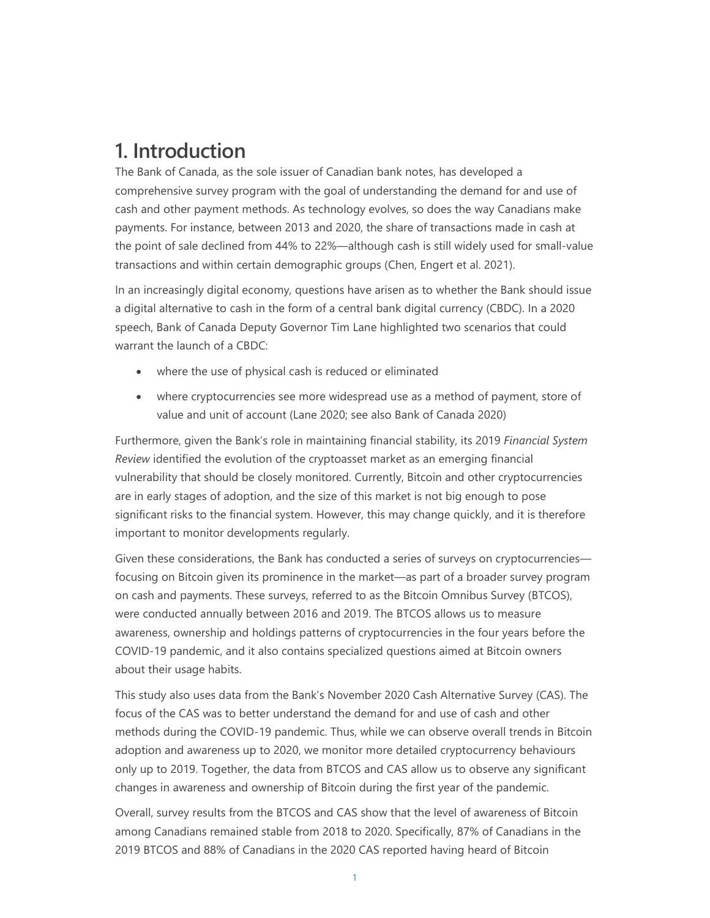## **1. Introduction**

The Bank of Canada, as the sole issuer of Canadian bank notes, has developed a comprehensive survey program with the goal of understanding the demand for and use of cash and other payment methods. As technology evolves, so does the way Canadians make payments. For instance, between 2013 and 2020, the share of transactions made in cash at the point of sale declined from 44% to 22%—although cash is still widely used for small-value transactions and within certain demographic groups (Chen, Engert et al. 2021).

In an increasingly digital economy, questions have arisen as to whether the Bank should issue a digital alternative to cash in the form of a central bank digital currency (CBDC). In a 2020 speech, Bank of Canada Deputy Governor Tim Lane highlighted two scenarios that could warrant the launch of a CBDC:

- where the use of physical cash is reduced or eliminated
- where cryptocurrencies see more widespread use as a method of payment, store of value and unit of account (Lane 2020; see also Bank of Canada 2020)

Furthermore, given the Bank's role in maintaining financial stability, its 2019 *Financial System Review* identified the evolution of the cryptoasset market as an emerging financial vulnerability that should be closely monitored. Currently, Bitcoin and other cryptocurrencies are in early stages of adoption, and the size of this market is not big enough to pose significant risks to the financial system. However, this may change quickly, and it is therefore important to monitor developments regularly.

Given these considerations, the Bank has conducted a series of surveys on cryptocurrencies focusing on Bitcoin given its prominence in the market—as part of a broader survey program on cash and payments. These surveys, referred to as the Bitcoin Omnibus Survey (BTCOS), were conducted annually between 2016 and 2019. The BTCOS allows us to measure awareness, ownership and holdings patterns of cryptocurrencies in the four years before the COVID-19 pandemic, and it also contains specialized questions aimed at Bitcoin owners about their usage habits.

This study also uses data from the Bank's November 2020 Cash Alternative Survey (CAS). The focus of the CAS was to better understand the demand for and use of cash and other methods during the COVID-19 pandemic. Thus, while we can observe overall trends in Bitcoin adoption and awareness up to 2020, we monitor more detailed cryptocurrency behaviours only up to 2019. Together, the data from BTCOS and CAS allow us to observe any significant changes in awareness and ownership of Bitcoin during the first year of the pandemic.

Overall, survey results from the BTCOS and CAS show that the level of awareness of Bitcoin among Canadians remained stable from 2018 to 2020. Specifically, 87% of Canadians in the 2019 BTCOS and 88% of Canadians in the 2020 CAS reported having heard of Bitcoin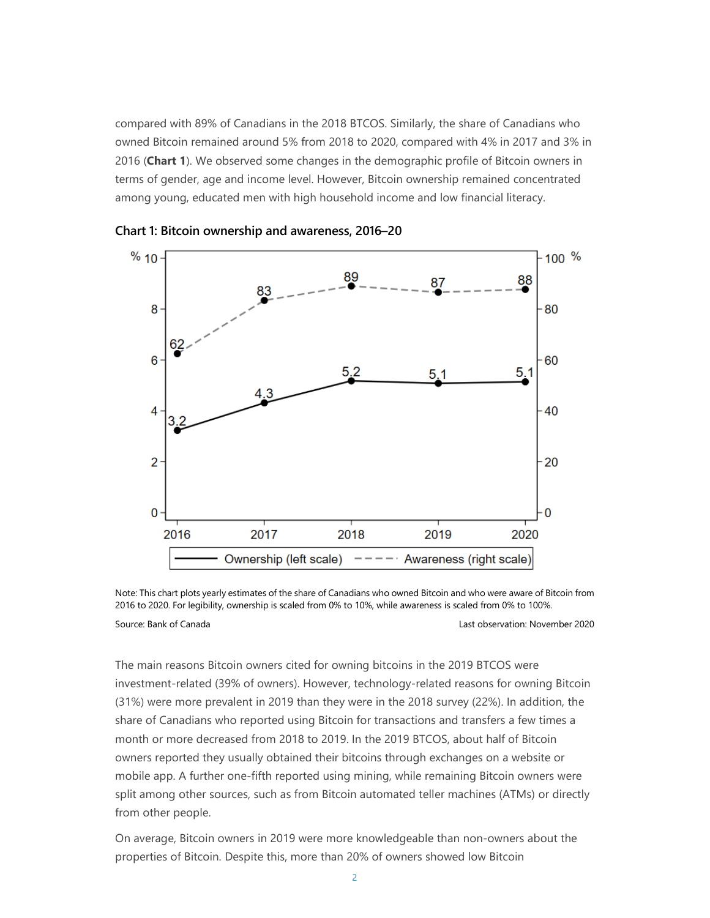compared with 89% of Canadians in the 2018 BTCOS. Similarly, the share of Canadians who owned Bitcoin remained around 5% from 2018 to 2020, compared with 4% in 2017 and 3% in 2016 (**Chart 1**). We observed some changes in the demographic profile of Bitcoin owners in terms of gender, age and income level. However, Bitcoin ownership remained concentrated among young, educated men with high household income and low financial literacy.



**Chart 1: Bitcoin ownership and awareness, 2016–20**

Note: This chart plots yearly estimates of the share of Canadians who owned Bitcoin and who were aware of Bitcoin from 2016 to 2020. For legibility, ownership is scaled from 0% to 10%, while awareness is scaled from 0% to 100%. Source: Bank of Canada Last observation: November 2020

The main reasons Bitcoin owners cited for owning bitcoins in the 2019 BTCOS were investment-related (39% of owners). However, technology-related reasons for owning Bitcoin (31%) were more prevalent in 2019 than they were in the 2018 survey (22%). In addition, the share of Canadians who reported using Bitcoin for transactions and transfers a few times a month or more decreased from 2018 to 2019. In the 2019 BTCOS, about half of Bitcoin owners reported they usually obtained their bitcoins through exchanges on a website or mobile app. A further one-fifth reported using mining, while remaining Bitcoin owners were split among other sources, such as from Bitcoin automated teller machines (ATMs) or directly from other people.

On average, Bitcoin owners in 2019 were more knowledgeable than non-owners about the properties of Bitcoin. Despite this, more than 20% of owners showed low Bitcoin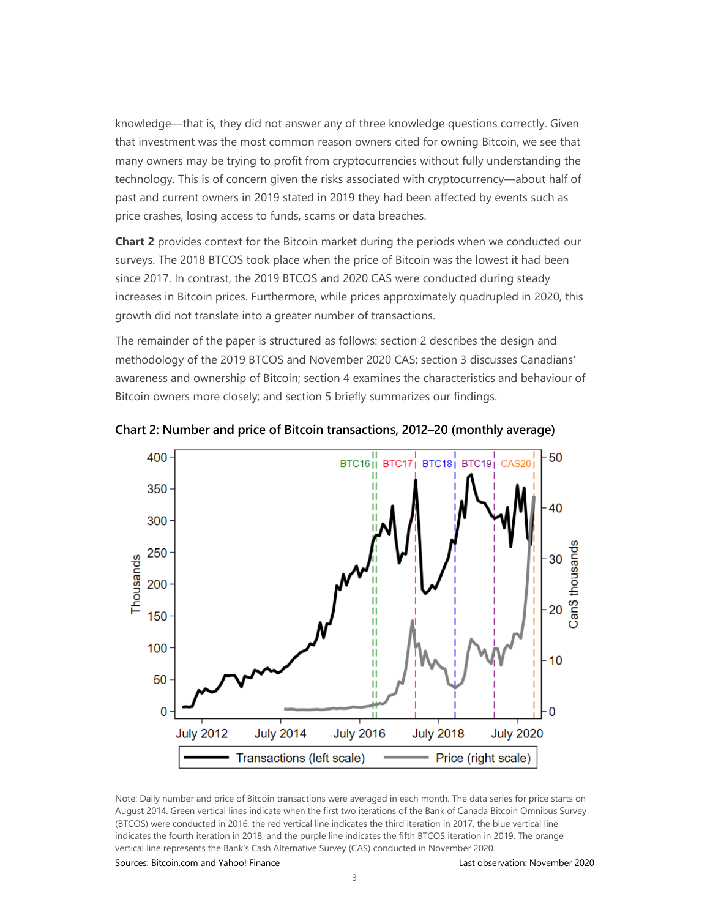knowledge—that is, they did not answer any of three knowledge questions correctly. Given that investment was the most common reason owners cited for owning Bitcoin, we see that many owners may be trying to profit from cryptocurrencies without fully understanding the technology. This is of concern given the risks associated with cryptocurrency—about half of past and current owners in 2019 stated in 2019 they had been affected by events such as price crashes, losing access to funds, scams or data breaches.

**Chart 2** provides context for the Bitcoin market during the periods when we conducted our surveys. The 2018 BTCOS took place when the price of Bitcoin was the lowest it had been since 2017. In contrast, the 2019 BTCOS and 2020 CAS were conducted during steady increases in Bitcoin prices. Furthermore, while prices approximately quadrupled in 2020, this growth did not translate into a greater number of transactions.

The remainder of the paper is structured as follows: section 2 describes the design and methodology of the 2019 BTCOS and November 2020 CAS; section 3 discusses Canadians' awareness and ownership of Bitcoin; section 4 examines the characteristics and behaviour of Bitcoin owners more closely; and section 5 briefly summarizes our findings.



**Chart 2: Number and price of Bitcoin transactions, 2012–20 (monthly average)**

Note: Daily number and price of Bitcoin transactions were averaged in each month. The data series for price starts on August 2014. Green vertical lines indicate when the first two iterations of the Bank of Canada Bitcoin Omnibus Survey (BTCOS) were conducted in 2016, the red vertical line indicates the third iteration in 2017, the blue vertical line indicates the fourth iteration in 2018, and the purple line indicates the fifth BTCOS iteration in 2019. The orange vertical line represents the Bank's Cash Alternative Survey (CAS) conducted in November 2020.

Sources: Bitcoin.com and Yahoo! Finance Last observation: November 2020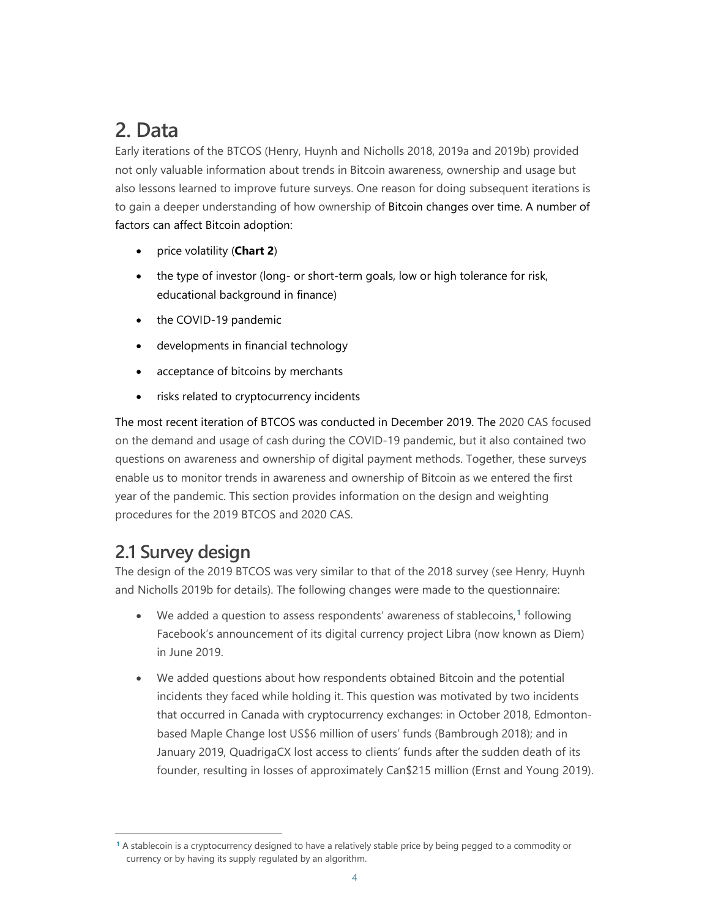# **2. Data**

Early iterations of the BTCOS (Henry, Huynh and Nicholls 2018, 2019a and 2019b) provided not only valuable information about trends in Bitcoin awareness, ownership and usage but also lessons learned to improve future surveys. One reason for doing subsequent iterations is to gain a deeper understanding of how ownership of Bitcoin changes over time. A number of factors can affect Bitcoin adoption:

- price volatility (**Chart 2**)
- the type of investor (long- or short-term goals, low or high tolerance for risk, educational background in finance)
- the COVID-19 pandemic
- developments in financial technology
- acceptance of bitcoins by merchants
- risks related to cryptocurrency incidents

The most recent iteration of BTCOS was conducted in December 2019. The 2020 CAS focused on the demand and usage of cash during the COVID-19 pandemic, but it also contained two questions on awareness and ownership of digital payment methods. Together, these surveys enable us to monitor trends in awareness and ownership of Bitcoin as we entered the first year of the pandemic. This section provides information on the design and weighting procedures for the 2019 BTCOS and 2020 CAS.

### **2.1 Survey design**

The design of the 2019 BTCOS was very similar to that of the 2018 survey (see Henry, Huynh and Nicholls 2019b for details). The following changes were made to the questionnaire:

- We added a question to assess respondents' awareness of stablecoins, **[1](#page-6-0)** following Facebook's announcement of its digital currency project Libra (now known as Diem) in June 2019.
- We added questions about how respondents obtained Bitcoin and the potential incidents they faced while holding it. This question was motivated by two incidents that occurred in Canada with cryptocurrency exchanges: in October 2018, Edmontonbased Maple Change lost US\$6 million of users' funds (Bambrough 2018); and in January 2019, QuadrigaCX lost access to clients' funds after the sudden death of its founder, resulting in losses of approximately Can\$215 million (Ernst and Young 2019).

<span id="page-6-0"></span>**<sup>1</sup>** A stablecoin is a cryptocurrency designed to have a relatively stable price by being pegged to a commodity or currency or by having its supply regulated by an algorithm.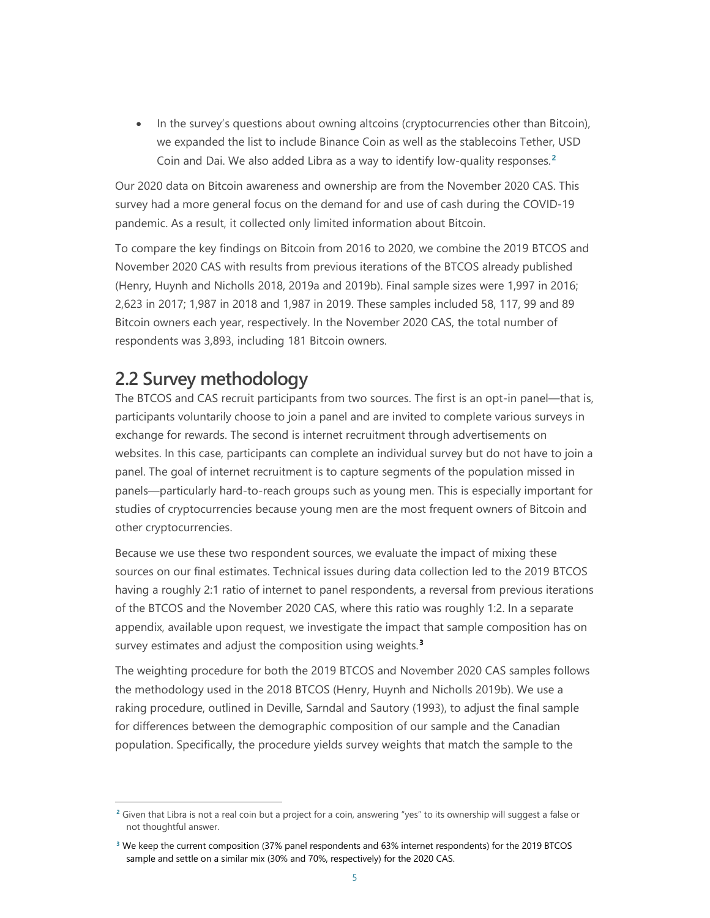• In the survey's questions about owning altcoins (cryptocurrencies other than Bitcoin), we expanded the list to include Binance Coin as well as the stablecoins Tether, USD Coin and Dai. We also added Libra as a way to identify low-quality responses. **[2](#page-7-0)**

Our 2020 data on Bitcoin awareness and ownership are from the November 2020 CAS. This survey had a more general focus on the demand for and use of cash during the COVID-19 pandemic. As a result, it collected only limited information about Bitcoin.

To compare the key findings on Bitcoin from 2016 to 2020, we combine the 2019 BTCOS and November 2020 CAS with results from previous iterations of the BTCOS already published (Henry, Huynh and Nicholls 2018, 2019a and 2019b). Final sample sizes were 1,997 in 2016; 2,623 in 2017; 1,987 in 2018 and 1,987 in 2019. These samples included 58, 117, 99 and 89 Bitcoin owners each year, respectively. In the November 2020 CAS, the total number of respondents was 3,893, including 181 Bitcoin owners.

### **2.2 Survey methodology**

The BTCOS and CAS recruit participants from two sources. The first is an opt-in panel—that is, participants voluntarily choose to join a panel and are invited to complete various surveys in exchange for rewards. The second is internet recruitment through advertisements on websites. In this case, participants can complete an individual survey but do not have to join a panel. The goal of internet recruitment is to capture segments of the population missed in panels—particularly hard-to-reach groups such as young men. This is especially important for studies of cryptocurrencies because young men are the most frequent owners of Bitcoin and other cryptocurrencies.

Because we use these two respondent sources, we evaluate the impact of mixing these sources on our final estimates. Technical issues during data collection led to the 2019 BTCOS having a roughly 2:1 ratio of internet to panel respondents, a reversal from previous iterations of the BTCOS and the November 2020 CAS, where this ratio was roughly 1:2. In a separate appendix, available upon request, we investigate the impact that sample composition has on survey estimates and adjust the composition using weights. **[3](#page-7-1)**

The weighting procedure for both the 2019 BTCOS and November 2020 CAS samples follows the methodology used in the 2018 BTCOS (Henry, Huynh and Nicholls 2019b). We use a raking procedure, outlined in Deville, Sarndal and Sautory (1993), to adjust the final sample for differences between the demographic composition of our sample and the Canadian population. Specifically, the procedure yields survey weights that match the sample to the

<span id="page-7-0"></span>**<sup>2</sup>** Given that Libra is not a real coin but a project for a coin, answering "yes" to its ownership will suggest a false or not thoughtful answer.

<span id="page-7-1"></span>**<sup>3</sup>** We keep the current composition (37% panel respondents and 63% internet respondents) for the 2019 BTCOS sample and settle on a similar mix (30% and 70%, respectively) for the 2020 CAS.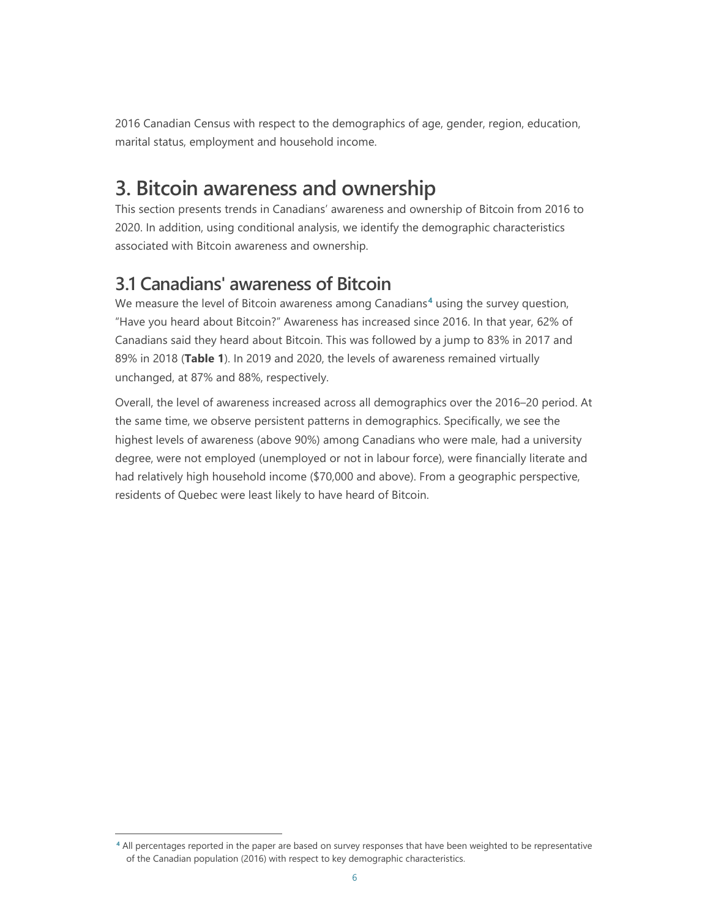2016 Canadian Census with respect to the demographics of age, gender, region, education, marital status, employment and household income.

# **3. Bitcoin awareness and ownership**

This section presents trends in Canadians' awareness and ownership of Bitcoin from 2016 to 2020. In addition, using conditional analysis, we identify the demographic characteristics associated with Bitcoin awareness and ownership.

### **3.1 Canadians' awareness of Bitcoin**

We measure the level of Bitcoin awareness among Canadians**[4](#page-8-0)** using the survey question, "Have you heard about Bitcoin?" Awareness has increased since 2016. In that year, 62% of Canadians said they heard about Bitcoin. This was followed by a jump to 83% in 2017 and 89% in 2018 (**Table 1**). In 2019 and 2020, the levels of awareness remained virtually unchanged, at 87% and 88%, respectively.

Overall, the level of awareness increased across all demographics over the 2016–20 period. At the same time, we observe persistent patterns in demographics. Specifically, we see the highest levels of awareness (above 90%) among Canadians who were male, had a university degree, were not employed (unemployed or not in labour force), were financially literate and had relatively high household income (\$70,000 and above). From a geographic perspective, residents of Quebec were least likely to have heard of Bitcoin.

<span id="page-8-0"></span>**<sup>4</sup>** All percentages reported in the paper are based on survey responses that have been weighted to be representative of the Canadian population (2016) with respect to key demographic characteristics.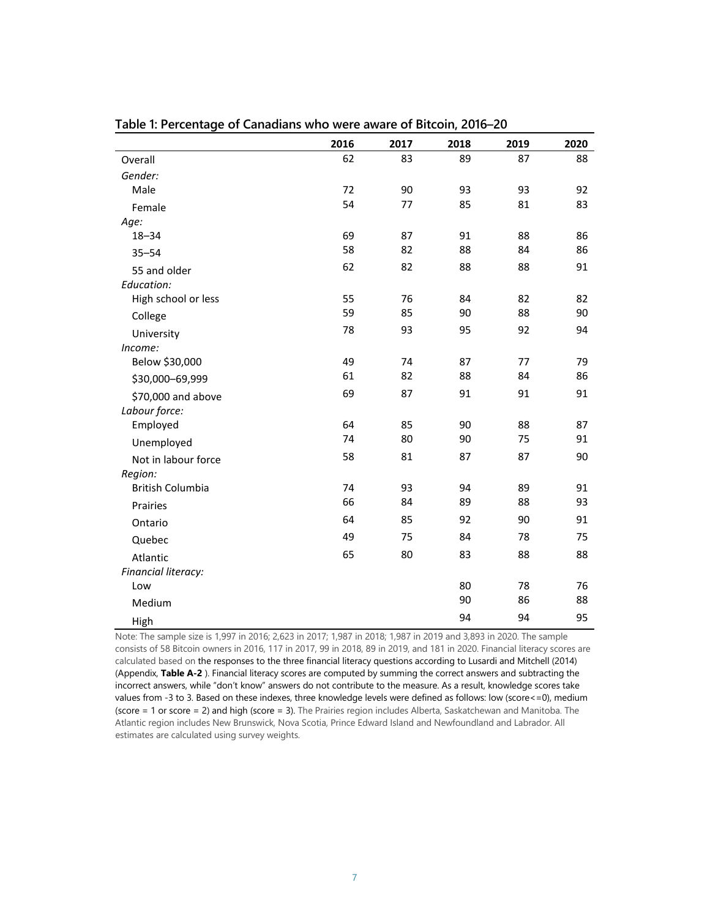|                         | 2016 | 2017 | 2018 | 2019 | 2020 |
|-------------------------|------|------|------|------|------|
| Overall                 | 62   | 83   | 89   | 87   | 88   |
| Gender:                 |      |      |      |      |      |
| Male                    | 72   | 90   | 93   | 93   | 92   |
| Female                  | 54   | 77   | 85   | 81   | 83   |
| Age:                    |      |      |      |      |      |
| $18 - 34$               | 69   | 87   | 91   | 88   | 86   |
| $35 - 54$               | 58   | 82   | 88   | 84   | 86   |
| 55 and older            | 62   | 82   | 88   | 88   | 91   |
| Education:              |      |      |      |      |      |
| High school or less     | 55   | 76   | 84   | 82   | 82   |
| College                 | 59   | 85   | 90   | 88   | 90   |
| University              | 78   | 93   | 95   | 92   | 94   |
| Income:                 |      |      |      |      |      |
| Below \$30,000          | 49   | 74   | 87   | 77   | 79   |
| \$30,000-69,999         | 61   | 82   | 88   | 84   | 86   |
| \$70,000 and above      | 69   | 87   | 91   | 91   | 91   |
| Labour force:           |      |      |      |      |      |
| Employed                | 64   | 85   | 90   | 88   | 87   |
| Unemployed              | 74   | 80   | 90   | 75   | 91   |
| Not in labour force     | 58   | 81   | 87   | 87   | 90   |
| Region:                 |      |      |      |      |      |
| <b>British Columbia</b> | 74   | 93   | 94   | 89   | 91   |
| Prairies                | 66   | 84   | 89   | 88   | 93   |
| Ontario                 | 64   | 85   | 92   | 90   | 91   |
| Quebec                  | 49   | 75   | 84   | 78   | 75   |
| Atlantic                | 65   | 80   | 83   | 88   | 88   |
| Financial literacy:     |      |      |      |      |      |
| Low                     |      |      | 80   | 78   | 76   |
| Medium                  |      |      | 90   | 86   | 88   |
| High                    |      |      | 94   | 94   | 95   |

**Table 1: Percentage of Canadians who were aware of Bitcoin, 2016–20**

Note: The sample size is 1,997 in 2016; 2,623 in 2017; 1,987 in 2018; 1,987 in 2019 and 3,893 in 2020. The sample consists of 58 Bitcoin owners in 2016, 117 in 2017, 99 in 2018, 89 in 2019, and 181 in 2020. Financial literacy scores are calculated based on the responses to the three financial literacy questions according to Lusardi and Mitchell (2014) (Appendix, **Table A-2** ). Financial literacy scores are computed by summing the correct answers and subtracting the incorrect answers, while "don't know" answers do not contribute to the measure. As a result, knowledge scores take values from -3 to 3. Based on these indexes, three knowledge levels were defined as follows: low (score<=0), medium (score = 1 or score = 2) and high (score = 3). The Prairies region includes Alberta, Saskatchewan and Manitoba. The Atlantic region includes New Brunswick, Nova Scotia, Prince Edward Island and Newfoundland and Labrador. All estimates are calculated using survey weights.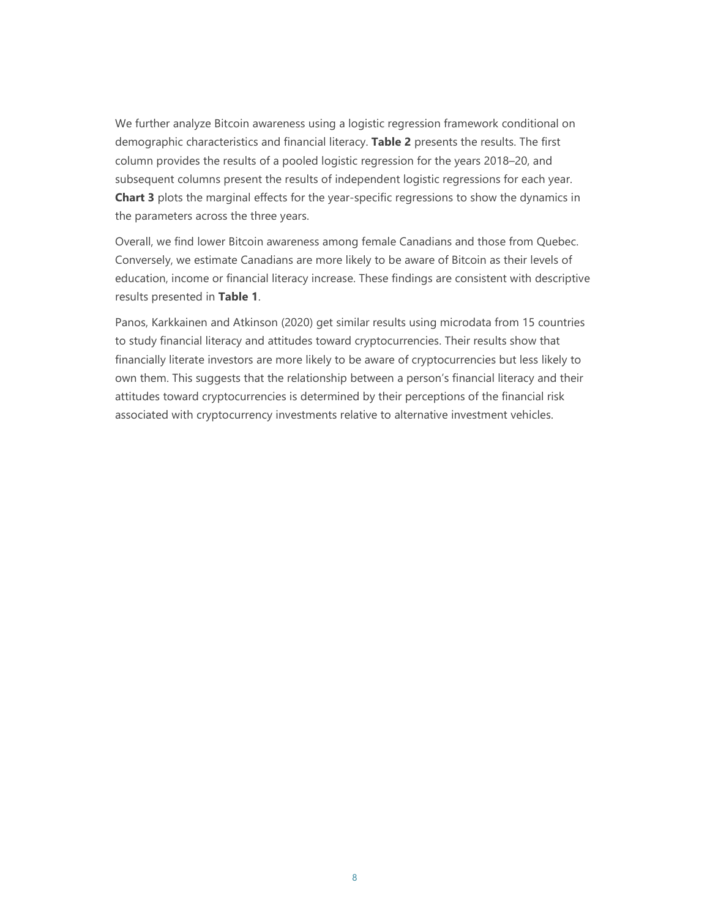We further analyze Bitcoin awareness using a logistic regression framework conditional on demographic characteristics and financial literacy. **Table 2** presents the results. The first column provides the results of a pooled logistic regression for the years 2018–20, and subsequent columns present the results of independent logistic regressions for each year. **Chart 3** plots the marginal effects for the year-specific regressions to show the dynamics in the parameters across the three years.

Overall, we find lower Bitcoin awareness among female Canadians and those from Quebec. Conversely, we estimate Canadians are more likely to be aware of Bitcoin as their levels of education, income or financial literacy increase. These findings are consistent with descriptive results presented in **Table 1**.

Panos, Karkkainen and Atkinson (2020) get similar results using microdata from 15 countries to study financial literacy and attitudes toward cryptocurrencies. Their results show that financially literate investors are more likely to be aware of cryptocurrencies but less likely to own them. This suggests that the relationship between a person's financial literacy and their attitudes toward cryptocurrencies is determined by their perceptions of the financial risk associated with cryptocurrency investments relative to alternative investment vehicles.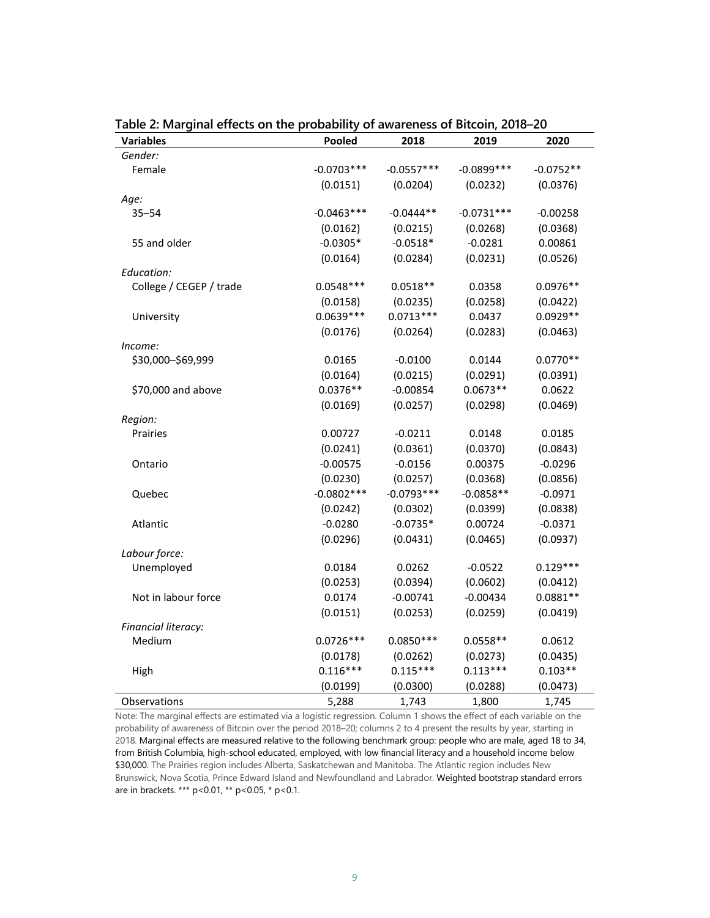| <b>Variables</b>        | Pooled       | 2018         | 2019          | 2020        |
|-------------------------|--------------|--------------|---------------|-------------|
| Gender:                 |              |              |               |             |
| Female                  | $-0.0703***$ | $-0.0557***$ | $-0.0899$ *** | $-0.0752**$ |
|                         | (0.0151)     | (0.0204)     | (0.0232)      | (0.0376)    |
| Age:                    |              |              |               |             |
| $35 - 54$               | $-0.0463***$ | $-0.0444**$  | $-0.0731***$  | $-0.00258$  |
|                         | (0.0162)     | (0.0215)     | (0.0268)      | (0.0368)    |
| 55 and older            | $-0.0305*$   | $-0.0518*$   | $-0.0281$     | 0.00861     |
|                         | (0.0164)     | (0.0284)     | (0.0231)      | (0.0526)    |
| Education:              |              |              |               |             |
| College / CEGEP / trade | $0.0548***$  | $0.0518**$   | 0.0358        | $0.0976**$  |
|                         | (0.0158)     | (0.0235)     | (0.0258)      | (0.0422)    |
| University              | $0.0639***$  | $0.0713***$  | 0.0437        | $0.0929**$  |
|                         | (0.0176)     | (0.0264)     | (0.0283)      | (0.0463)    |
| Income:                 |              |              |               |             |
| \$30,000-\$69,999       | 0.0165       | $-0.0100$    | 0.0144        | $0.0770**$  |
|                         | (0.0164)     | (0.0215)     | (0.0291)      | (0.0391)    |
| \$70,000 and above      | $0.0376**$   | $-0.00854$   | $0.0673**$    | 0.0622      |
|                         | (0.0169)     | (0.0257)     | (0.0298)      | (0.0469)    |
| Region:                 |              |              |               |             |
| Prairies                | 0.00727      | $-0.0211$    | 0.0148        | 0.0185      |
|                         | (0.0241)     | (0.0361)     | (0.0370)      | (0.0843)    |
| Ontario                 | $-0.00575$   | $-0.0156$    | 0.00375       | $-0.0296$   |
|                         | (0.0230)     | (0.0257)     | (0.0368)      | (0.0856)    |
| Quebec                  | $-0.0802***$ | $-0.0793***$ | $-0.0858**$   | $-0.0971$   |
|                         | (0.0242)     | (0.0302)     | (0.0399)      | (0.0838)    |
| Atlantic                | $-0.0280$    | $-0.0735*$   | 0.00724       | $-0.0371$   |
|                         | (0.0296)     | (0.0431)     | (0.0465)      | (0.0937)    |
| Labour force:           |              |              |               |             |
| Unemployed              | 0.0184       | 0.0262       | $-0.0522$     | $0.129***$  |
|                         | (0.0253)     | (0.0394)     | (0.0602)      | (0.0412)    |
| Not in labour force     | 0.0174       | $-0.00741$   | $-0.00434$    | $0.0881**$  |
|                         | (0.0151)     | (0.0253)     | (0.0259)      | (0.0419)    |
| Financial literacy:     |              |              |               |             |
| Medium                  | $0.0726***$  | $0.0850***$  | $0.0558**$    | 0.0612      |
|                         | (0.0178)     | (0.0262)     | (0.0273)      | (0.0435)    |
| High                    | $0.116***$   | $0.115***$   | $0.113***$    | $0.103**$   |
|                         | (0.0199)     | (0.0300)     | (0.0288)      | (0.0473)    |
| Observations            | 5,288        | 1,743        | 1,800         | 1,745       |

**Table 2: Marginal effects on the probability of awareness of Bitcoin, 2018–20** 

Note: The marginal effects are estimated via a logistic regression. Column 1 shows the effect of each variable on the probability of awareness of Bitcoin over the period 2018–20; columns 2 to 4 present the results by year, starting in 2018. Marginal effects are measured relative to the following benchmark group: people who are male, aged 18 to 34, from British Columbia, high-school educated, employed, with low financial literacy and a household income below \$30,000. The Prairies region includes Alberta, Saskatchewan and Manitoba. The Atlantic region includes New Brunswick, Nova Scotia, Prince Edward Island and Newfoundland and Labrador. Weighted bootstrap standard errors are in brackets. \*\*\* p<0.01, \*\* p<0.05, \* p<0.1.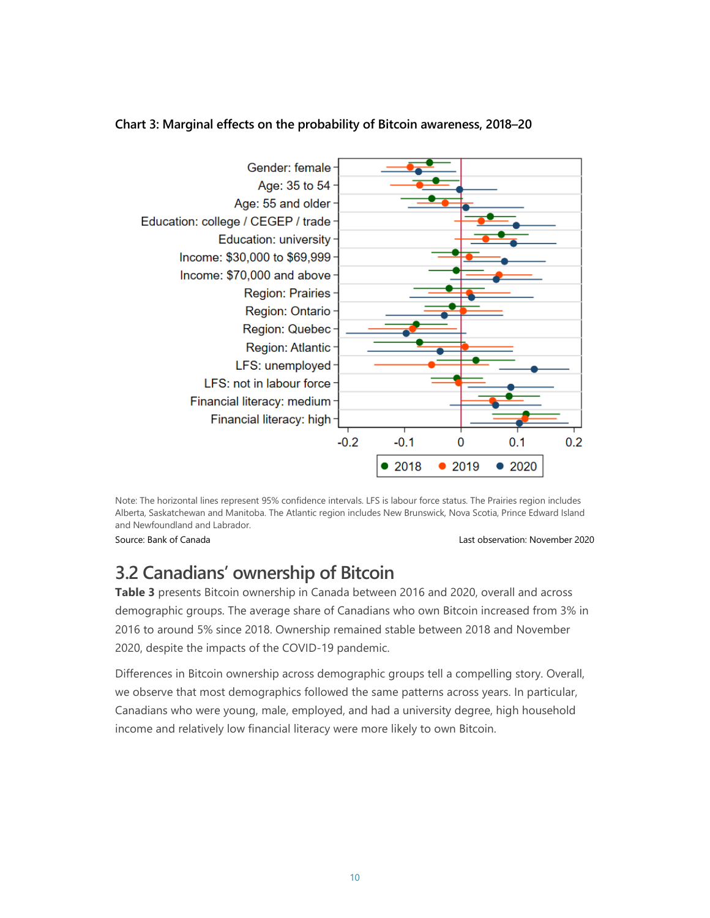

### **Chart 3: Marginal effects on the probability of Bitcoin awareness, 2018–20**

Note: The horizontal lines represent 95% confidence intervals. LFS is labour force status. The Prairies region includes Alberta, Saskatchewan and Manitoba. The Atlantic region includes New Brunswick, Nova Scotia, Prince Edward Island and Newfoundland and Labrador.

Source: Bank of Canada Last observation: November 2020

# **3.2 Canadians' ownership of Bitcoin**

**Table 3** presents Bitcoin ownership in Canada between 2016 and 2020, overall and across demographic groups. The average share of Canadians who own Bitcoin increased from 3% in 2016 to around 5% since 2018. Ownership remained stable between 2018 and November 2020, despite the impacts of the COVID-19 pandemic.

Differences in Bitcoin ownership across demographic groups tell a compelling story. Overall, we observe that most demographics followed the same patterns across years. In particular, Canadians who were young, male, employed, and had a university degree, high household income and relatively low financial literacy were more likely to own Bitcoin.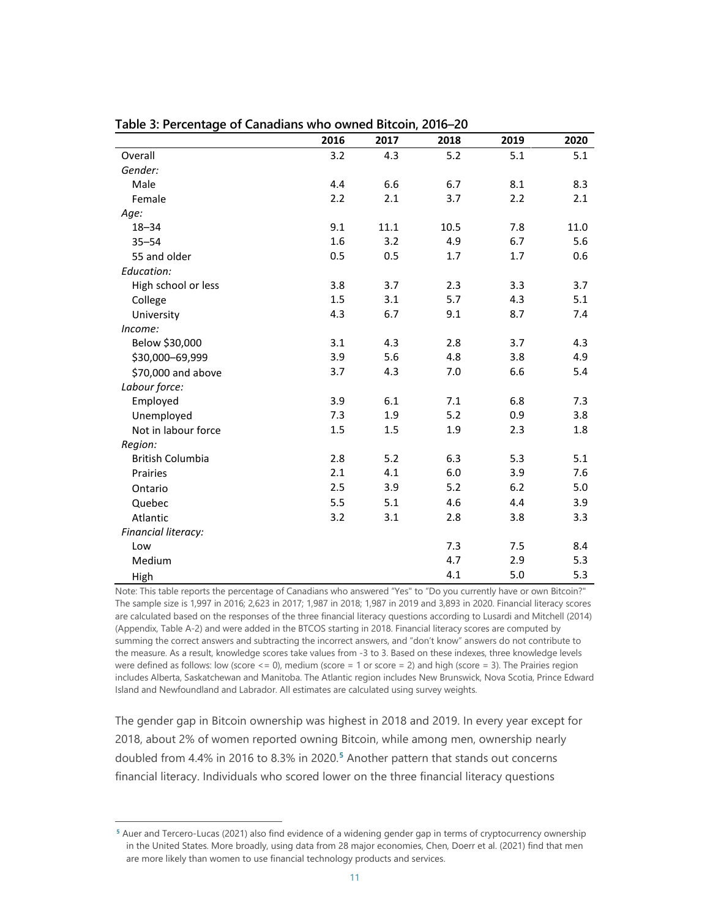|                         | 2016 | 2017 | 2018 | 2019 | 2020 |
|-------------------------|------|------|------|------|------|
| Overall                 | 3.2  | 4.3  | 5.2  | 5.1  | 5.1  |
| Gender:                 |      |      |      |      |      |
| Male                    | 4.4  | 6.6  | 6.7  | 8.1  | 8.3  |
| Female                  | 2.2  | 2.1  | 3.7  | 2.2  | 2.1  |
| Age:                    |      |      |      |      |      |
| $18 - 34$               | 9.1  | 11.1 | 10.5 | 7.8  | 11.0 |
| $35 - 54$               | 1.6  | 3.2  | 4.9  | 6.7  | 5.6  |
| 55 and older            | 0.5  | 0.5  | 1.7  | 1.7  | 0.6  |
| Education:              |      |      |      |      |      |
| High school or less     | 3.8  | 3.7  | 2.3  | 3.3  | 3.7  |
| College                 | 1.5  | 3.1  | 5.7  | 4.3  | 5.1  |
| University              | 4.3  | 6.7  | 9.1  | 8.7  | 7.4  |
| Income:                 |      |      |      |      |      |
| Below \$30,000          | 3.1  | 4.3  | 2.8  | 3.7  | 4.3  |
| \$30,000-69,999         | 3.9  | 5.6  | 4.8  | 3.8  | 4.9  |
| \$70,000 and above      | 3.7  | 4.3  | 7.0  | 6.6  | 5.4  |
| Labour force:           |      |      |      |      |      |
| Employed                | 3.9  | 6.1  | 7.1  | 6.8  | 7.3  |
| Unemployed              | 7.3  | 1.9  | 5.2  | 0.9  | 3.8  |
| Not in labour force     | 1.5  | 1.5  | 1.9  | 2.3  | 1.8  |
| Region:                 |      |      |      |      |      |
| <b>British Columbia</b> | 2.8  | 5.2  | 6.3  | 5.3  | 5.1  |
| Prairies                | 2.1  | 4.1  | 6.0  | 3.9  | 7.6  |
| Ontario                 | 2.5  | 3.9  | 5.2  | 6.2  | 5.0  |
| Quebec                  | 5.5  | 5.1  | 4.6  | 4.4  | 3.9  |
| Atlantic                | 3.2  | 3.1  | 2.8  | 3.8  | 3.3  |
| Financial literacy:     |      |      |      |      |      |
| Low                     |      |      | 7.3  | 7.5  | 8.4  |
| Medium                  |      |      | 4.7  | 2.9  | 5.3  |
| High                    |      |      | 4.1  | 5.0  | 5.3  |

**Table 3: Percentage of Canadians who owned Bitcoin, 2016–20**

Note: This table reports the percentage of Canadians who answered "Yes" to "Do you currently have or own Bitcoin?" The sample size is 1,997 in 2016; 2,623 in 2017; 1,987 in 2018; 1,987 in 2019 and 3,893 in 2020. Financial literacy scores are calculated based on the responses of the three financial literacy questions according to Lusardi and Mitchell (2014) (Appendix, Table A-2) and were added in the BTCOS starting in 2018. Financial literacy scores are computed by summing the correct answers and subtracting the incorrect answers, and "don't know" answers do not contribute to the measure. As a result, knowledge scores take values from -3 to 3. Based on these indexes, three knowledge levels were defined as follows: low (score <= 0), medium (score = 1 or score = 2) and high (score = 3). The Prairies region includes Alberta, Saskatchewan and Manitoba. The Atlantic region includes New Brunswick, Nova Scotia, Prince Edward Island and Newfoundland and Labrador. All estimates are calculated using survey weights.

The gender gap in Bitcoin ownership was highest in 2018 and 2019. In every year except for 2018, about 2% of women reported owning Bitcoin, while among men, ownership nearly doubled from 4.4% in 2016 to 8.3% in 2020.**[5](#page-13-0)** Another pattern that stands out concerns financial literacy. Individuals who scored lower on the three financial literacy questions

<span id="page-13-0"></span>**<sup>5</sup>** Auer and Tercero-Lucas (2021) also find evidence of a widening gender gap in terms of cryptocurrency ownership in the United States. More broadly, using data from 28 major economies, Chen, Doerr et al. (2021) find that men are more likely than women to use financial technology products and services.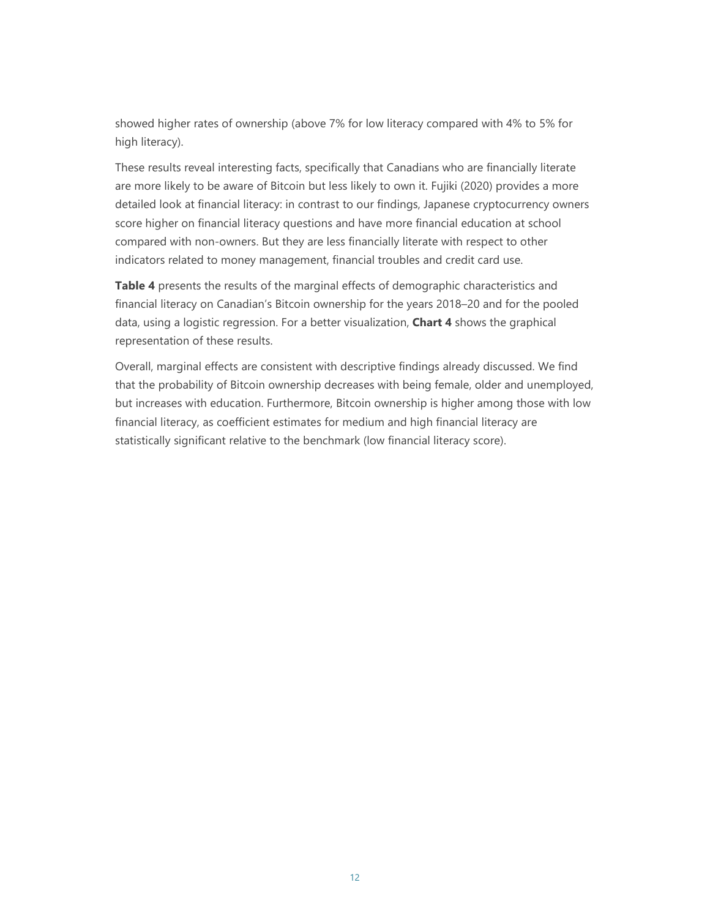showed higher rates of ownership (above 7% for low literacy compared with 4% to 5% for high literacy).

These results reveal interesting facts, specifically that Canadians who are financially literate are more likely to be aware of Bitcoin but less likely to own it. Fujiki (2020) provides a more detailed look at financial literacy: in contrast to our findings, Japanese cryptocurrency owners score higher on financial literacy questions and have more financial education at school compared with non-owners. But they are less financially literate with respect to other indicators related to money management, financial troubles and credit card use.

**Table 4** presents the results of the marginal effects of demographic characteristics and financial literacy on Canadian's Bitcoin ownership for the years 2018–20 and for the pooled data, using a logistic regression. For a better visualization, **Chart 4** shows the graphical representation of these results.

Overall, marginal effects are consistent with descriptive findings already discussed. We find that the probability of Bitcoin ownership decreases with being female, older and unemployed, but increases with education. Furthermore, Bitcoin ownership is higher among those with low financial literacy, as coefficient estimates for medium and high financial literacy are statistically significant relative to the benchmark (low financial literacy score).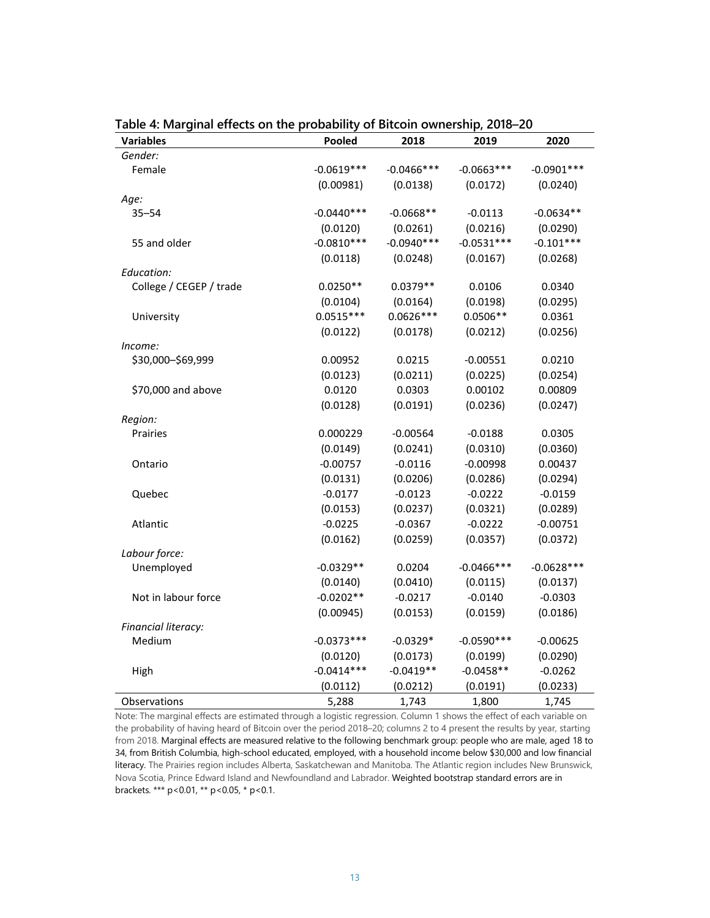| <b>Variables</b>        | Pooled       | 2018          | 2019          | 2020         |
|-------------------------|--------------|---------------|---------------|--------------|
| Gender:                 |              |               |               |              |
| Female                  | $-0.0619***$ | $-0.0466$ *** | $-0.0663***$  | $-0.0901***$ |
|                         | (0.00981)    | (0.0138)      | (0.0172)      | (0.0240)     |
| Age:                    |              |               |               |              |
| $35 - 54$               | $-0.0440***$ | $-0.0668**$   | $-0.0113$     | $-0.0634**$  |
|                         | (0.0120)     | (0.0261)      | (0.0216)      | (0.0290)     |
| 55 and older            | $-0.0810***$ | $-0.0940***$  | $-0.0531***$  | $-0.101***$  |
|                         | (0.0118)     | (0.0248)      | (0.0167)      | (0.0268)     |
| Education:              |              |               |               |              |
| College / CEGEP / trade | $0.0250**$   | $0.0379**$    | 0.0106        | 0.0340       |
|                         | (0.0104)     | (0.0164)      | (0.0198)      | (0.0295)     |
| University              | $0.0515***$  | $0.0626***$   | $0.0506**$    | 0.0361       |
|                         | (0.0122)     | (0.0178)      | (0.0212)      | (0.0256)     |
| Income:                 |              |               |               |              |
| \$30,000-\$69,999       | 0.00952      | 0.0215        | $-0.00551$    | 0.0210       |
|                         | (0.0123)     | (0.0211)      | (0.0225)      | (0.0254)     |
| \$70,000 and above      | 0.0120       | 0.0303        | 0.00102       | 0.00809      |
|                         | (0.0128)     | (0.0191)      | (0.0236)      | (0.0247)     |
| Region:                 |              |               |               |              |
| Prairies                | 0.000229     | $-0.00564$    | $-0.0188$     | 0.0305       |
|                         | (0.0149)     | (0.0241)      | (0.0310)      | (0.0360)     |
| Ontario                 | $-0.00757$   | $-0.0116$     | $-0.00998$    | 0.00437      |
|                         | (0.0131)     | (0.0206)      | (0.0286)      | (0.0294)     |
| Quebec                  | $-0.0177$    | $-0.0123$     | $-0.0222$     | $-0.0159$    |
|                         | (0.0153)     | (0.0237)      | (0.0321)      | (0.0289)     |
| Atlantic                | $-0.0225$    | $-0.0367$     | $-0.0222$     | $-0.00751$   |
|                         | (0.0162)     | (0.0259)      | (0.0357)      | (0.0372)     |
| Labour force:           |              |               |               |              |
| Unemployed              | $-0.0329**$  | 0.0204        | $-0.0466$ *** | $-0.0628***$ |
|                         | (0.0140)     | (0.0410)      | (0.0115)      | (0.0137)     |
| Not in labour force     | $-0.0202**$  | $-0.0217$     | $-0.0140$     | $-0.0303$    |
|                         | (0.00945)    | (0.0153)      | (0.0159)      | (0.0186)     |
| Financial literacy:     |              |               |               |              |
| Medium                  | $-0.0373***$ | $-0.0329*$    | $-0.0590***$  | $-0.00625$   |
|                         | (0.0120)     | (0.0173)      | (0.0199)      | (0.0290)     |
| High                    | $-0.0414***$ | $-0.0419**$   | $-0.0458**$   | $-0.0262$    |
|                         | (0.0112)     | (0.0212)      | (0.0191)      | (0.0233)     |
| Observations            | 5,288        | 1,743         | 1,800         | 1,745        |

**Table 4: Marginal effects on the probability of Bitcoin ownership, 2018–20**

Note: The marginal effects are estimated through a logistic regression. Column 1 shows the effect of each variable on the probability of having heard of Bitcoin over the period 2018–20; columns 2 to 4 present the results by year, starting from 2018. Marginal effects are measured relative to the following benchmark group: people who are male, aged 18 to 34, from British Columbia, high-school educated, employed, with a household income below \$30,000 and low financial literacy. The Prairies region includes Alberta, Saskatchewan and Manitoba. The Atlantic region includes New Brunswick, Nova Scotia, Prince Edward Island and Newfoundland and Labrador. Weighted bootstrap standard errors are in brackets. \*\*\* p<0.01, \*\* p<0.05, \* p<0.1.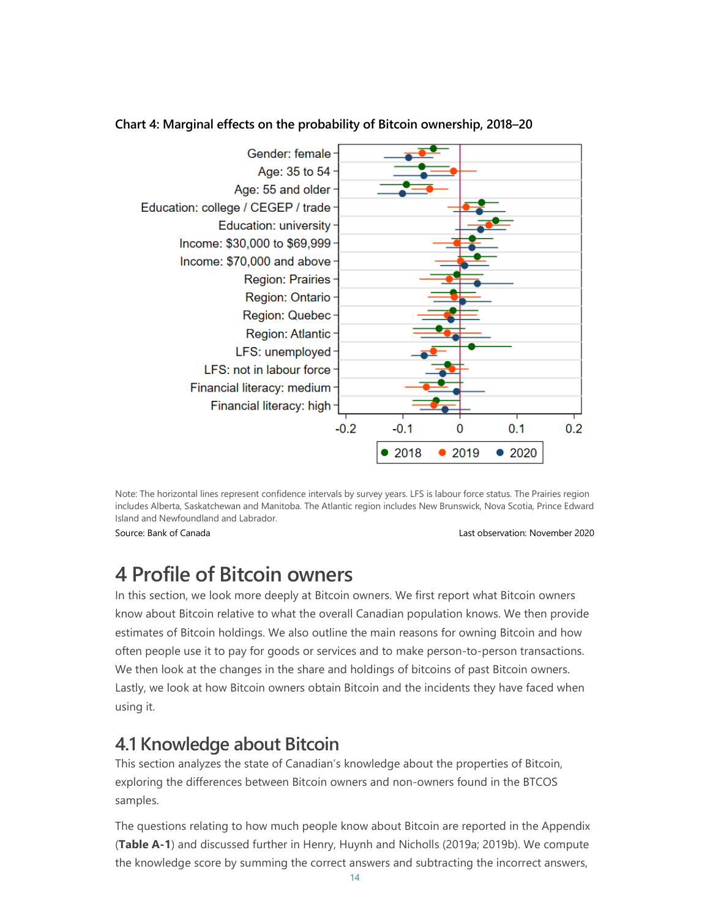

#### **Chart 4: Marginal effects on the probability of Bitcoin ownership, 2018–20**

Note: The horizontal lines represent confidence intervals by survey years. LFS is labour force status. The Prairies region includes Alberta, Saskatchewan and Manitoba. The Atlantic region includes New Brunswick, Nova Scotia, Prince Edward Island and Newfoundland and Labrador.

Source: Bank of Canada Last observation: November 2020

# **4 Profile of Bitcoin owners**

In this section, we look more deeply at Bitcoin owners. We first report what Bitcoin owners know about Bitcoin relative to what the overall Canadian population knows. We then provide estimates of Bitcoin holdings. We also outline the main reasons for owning Bitcoin and how often people use it to pay for goods or services and to make person-to-person transactions. We then look at the changes in the share and holdings of bitcoins of past Bitcoin owners. Lastly, we look at how Bitcoin owners obtain Bitcoin and the incidents they have faced when using it.

### **4.1 Knowledge about Bitcoin**

This section analyzes the state of Canadian's knowledge about the properties of Bitcoin, exploring the differences between Bitcoin owners and non-owners found in the BTCOS samples.

The questions relating to how much people know about Bitcoin are reported in the Appendix (**Table A-1**) and discussed further in Henry, Huynh and Nicholls (2019a; 2019b). We compute the knowledge score by summing the correct answers and subtracting the incorrect answers,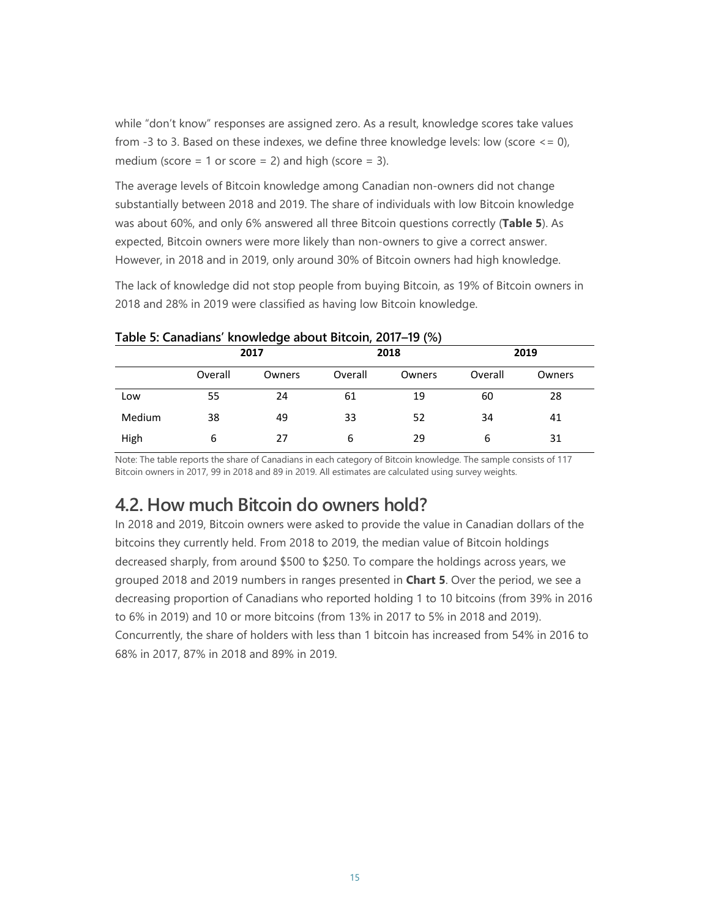while "don't know" responses are assigned zero. As a result, knowledge scores take values from -3 to 3. Based on these indexes, we define three knowledge levels: low (score  $\leq$  = 0), medium (score = 1 or score = 2) and high (score = 3).

The average levels of Bitcoin knowledge among Canadian non-owners did not change substantially between 2018 and 2019. The share of individuals with low Bitcoin knowledge was about 60%, and only 6% answered all three Bitcoin questions correctly (**Table 5**). As expected, Bitcoin owners were more likely than non-owners to give a correct answer. However, in 2018 and in 2019, only around 30% of Bitcoin owners had high knowledge.

The lack of knowledge did not stop people from buying Bitcoin, as 19% of Bitcoin owners in 2018 and 28% in 2019 were classified as having low Bitcoin knowledge.

|        | Table 5. Canadians Knowledge about Ditcom, 2017-15 (70) |        |         |        |         |        |  |
|--------|---------------------------------------------------------|--------|---------|--------|---------|--------|--|
|        |                                                         | 2017   |         | 2018   |         | 2019   |  |
|        | Overall                                                 | Owners | Overall | Owners | Overall | Owners |  |
| Low    | 55                                                      | 24     | 61      | 19     | 60      | 28     |  |
| Medium | 38                                                      | 49     | 33      | 52     | 34      | 41     |  |
| High   | 6                                                       | 27     | 6       | 29     | 6       | 31     |  |

#### **Table 5: Canadians' knowledge about Bitcoin, 2017–19 (%)**

Note: The table reports the share of Canadians in each category of Bitcoin knowledge. The sample consists of 117 Bitcoin owners in 2017, 99 in 2018 and 89 in 2019. All estimates are calculated using survey weights.

### **4.2. How much Bitcoin do owners hold?**

In 2018 and 2019, Bitcoin owners were asked to provide the value in Canadian dollars of the bitcoins they currently held. From 2018 to 2019, the median value of Bitcoin holdings decreased sharply, from around \$500 to \$250. To compare the holdings across years, we grouped 2018 and 2019 numbers in ranges presented in **Chart 5**. Over the period, we see a decreasing proportion of Canadians who reported holding 1 to 10 bitcoins (from 39% in 2016 to 6% in 2019) and 10 or more bitcoins (from 13% in 2017 to 5% in 2018 and 2019). Concurrently, the share of holders with less than 1 bitcoin has increased from 54% in 2016 to 68% in 2017, 87% in 2018 and 89% in 2019.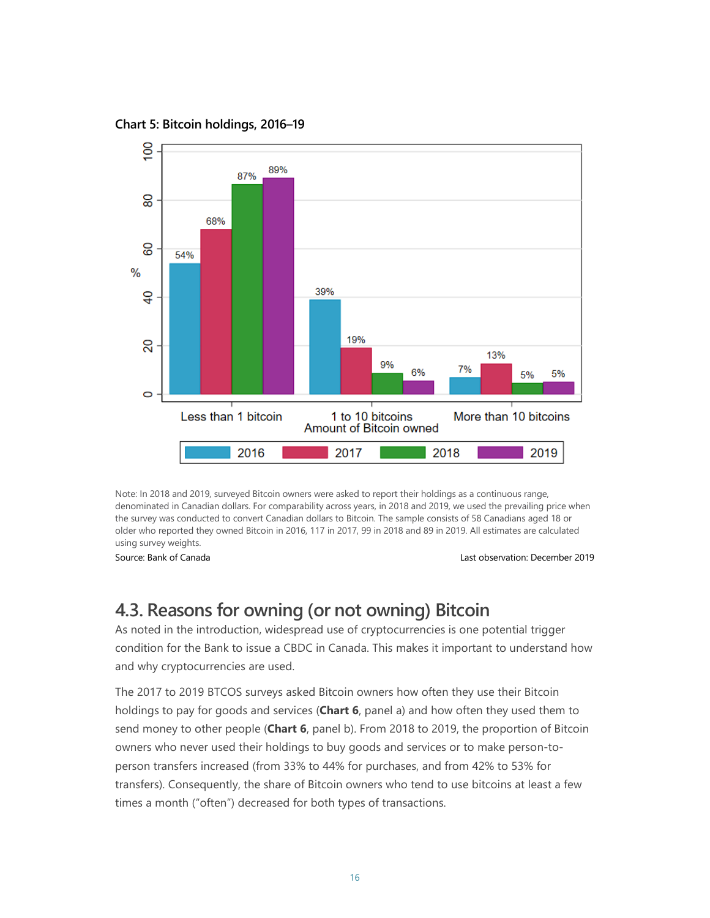**Chart 5: Bitcoin holdings, 2016–19**



Note: In 2018 and 2019, surveyed Bitcoin owners were asked to report their holdings as a continuous range, denominated in Canadian dollars. For comparability across years, in 2018 and 2019, we used the prevailing price when the survey was conducted to convert Canadian dollars to Bitcoin. The sample consists of 58 Canadians aged 18 or older who reported they owned Bitcoin in 2016, 117 in 2017, 99 in 2018 and 89 in 2019. All estimates are calculated using survey weights.

Source: Bank of Canada Last observation: December 2019

### **4.3. Reasons for owning (or not owning) Bitcoin**

As noted in the introduction, widespread use of cryptocurrencies is one potential trigger condition for the Bank to issue a CBDC in Canada. This makes it important to understand how and why cryptocurrencies are used.

The 2017 to 2019 BTCOS surveys asked Bitcoin owners how often they use their Bitcoin holdings to pay for goods and services (**Chart 6**, panel a) and how often they used them to send money to other people (**Chart 6**, panel b). From 2018 to 2019, the proportion of Bitcoin owners who never used their holdings to buy goods and services or to make person-toperson transfers increased (from 33% to 44% for purchases, and from 42% to 53% for transfers). Consequently, the share of Bitcoin owners who tend to use bitcoins at least a few times a month ("often") decreased for both types of transactions.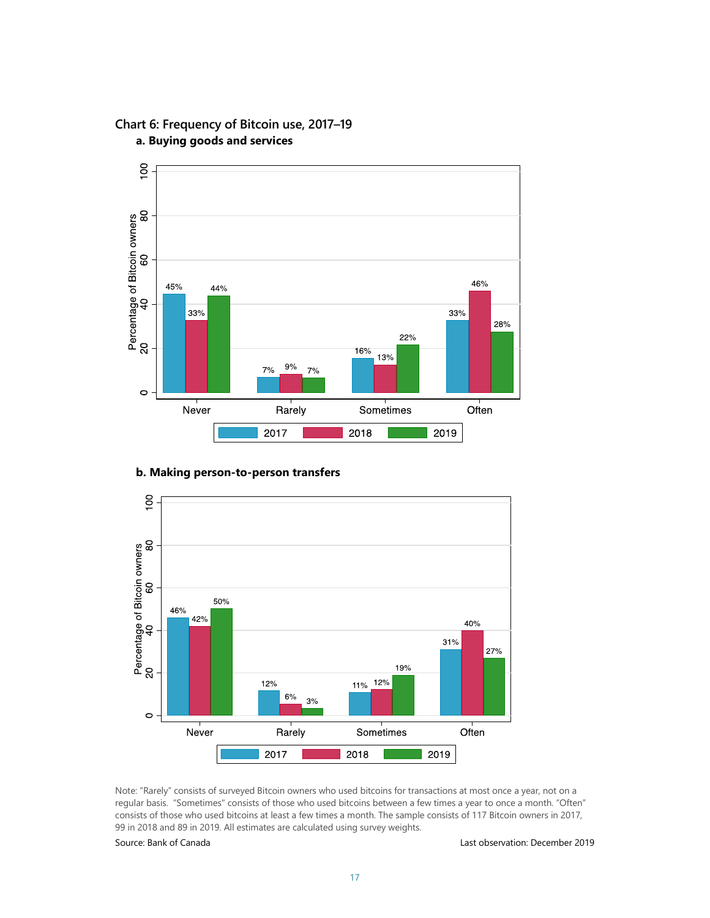

#### **Chart 6: Frequency of Bitcoin use, 2017–19 a. Buying goods and services**

#### **b. Making person-to-person transfers**



Note: "Rarely" consists of surveyed Bitcoin owners who used bitcoins for transactions at most once a year, not on a regular basis. "Sometimes" consists of those who used bitcoins between a few times a year to once a month. "Often" consists of those who used bitcoins at least a few times a month. The sample consists of 117 Bitcoin owners in 2017, 99 in 2018 and 89 in 2019. All estimates are calculated using survey weights.

#### Source: Bank of Canada Last observation: December 2019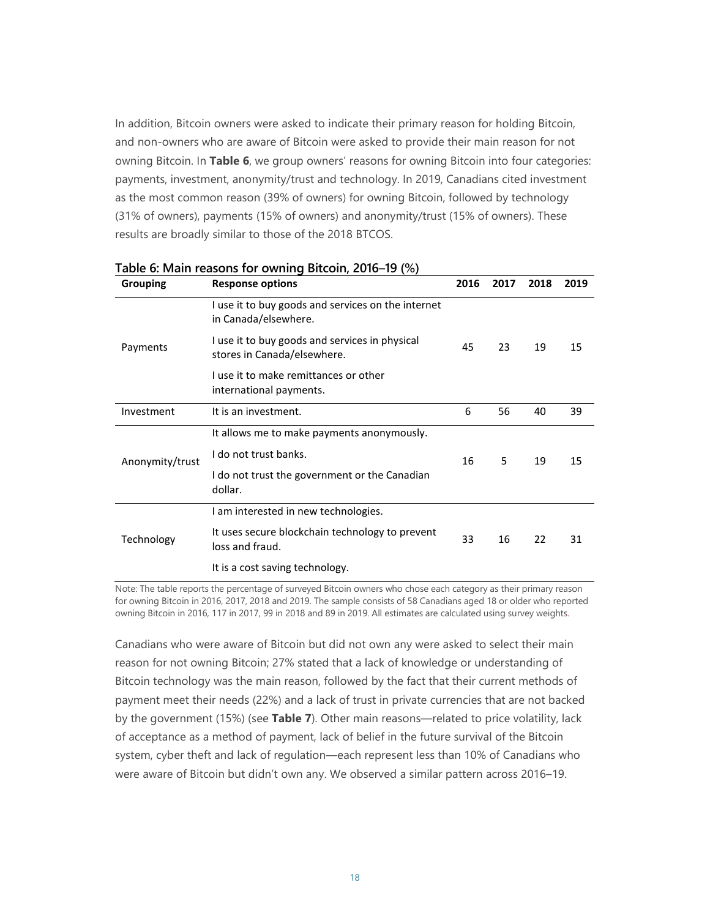In addition, Bitcoin owners were asked to indicate their primary reason for holding Bitcoin, and non-owners who are aware of Bitcoin were asked to provide their main reason for not owning Bitcoin. In **Table 6**, we group owners' reasons for owning Bitcoin into four categories: payments, investment, anonymity/trust and technology. In 2019, Canadians cited investment as the most common reason (39% of owners) for owning Bitcoin, followed by technology (31% of owners), payments (15% of owners) and anonymity/trust (15% of owners). These results are broadly similar to those of the 2018 BTCOS.

| <b>Grouping</b> | <b>Response options</b>                                                       | 2016 | 2017 | 2018 | 2019 |
|-----------------|-------------------------------------------------------------------------------|------|------|------|------|
|                 | I use it to buy goods and services on the internet<br>in Canada/elsewhere.    |      | 23   | 19   | 15   |
| Payments        | I use it to buy goods and services in physical<br>stores in Canada/elsewhere. | 45   |      |      |      |
|                 | I use it to make remittances or other<br>international payments.              |      |      |      |      |
| Investment      | It is an investment.                                                          | 6    | 56   | 40   | 39   |
|                 | It allows me to make payments anonymously.                                    |      |      |      |      |
| Anonymity/trust | I do not trust banks.                                                         | 16   | 5    | 19   | 15   |
|                 | I do not trust the government or the Canadian<br>dollar.                      |      |      |      |      |
|                 | I am interested in new technologies.                                          |      |      |      |      |
| Technology      | It uses secure blockchain technology to prevent<br>loss and fraud.            | 33   | 16   | 22   | 31   |
|                 | It is a cost saving technology.                                               |      |      |      |      |

**Table 6: Main reasons for owning Bitcoin, 2016–19 (%)**

Note: The table reports the percentage of surveyed Bitcoin owners who chose each category as their primary reason for owning Bitcoin in 2016, 2017, 2018 and 2019. The sample consists of 58 Canadians aged 18 or older who reported owning Bitcoin in 2016, 117 in 2017, 99 in 2018 and 89 in 2019. All estimates are calculated using survey weights.

Canadians who were aware of Bitcoin but did not own any were asked to select their main reason for not owning Bitcoin; 27% stated that a lack of knowledge or understanding of Bitcoin technology was the main reason, followed by the fact that their current methods of payment meet their needs (22%) and a lack of trust in private currencies that are not backed by the government (15%) (see **Table 7**). Other main reasons—related to price volatility, lack of acceptance as a method of payment, lack of belief in the future survival of the Bitcoin system, cyber theft and lack of regulation—each represent less than 10% of Canadians who were aware of Bitcoin but didn't own any. We observed a similar pattern across 2016–19.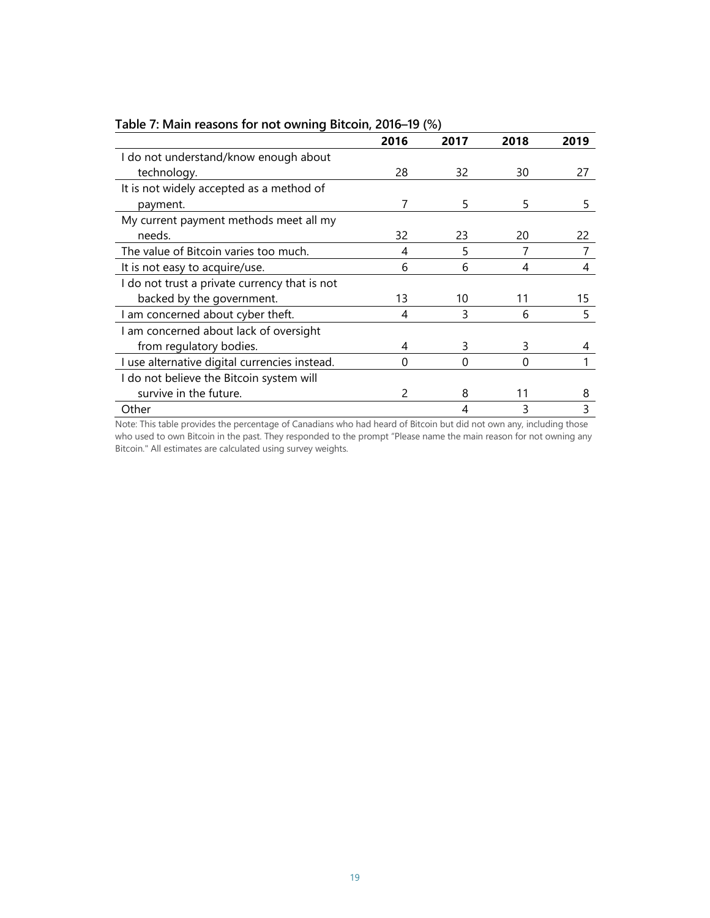|                                               | 2016 | 2017 | 2018 | 2019 |
|-----------------------------------------------|------|------|------|------|
| I do not understand/know enough about         |      |      |      |      |
| technology.                                   | 28   | 32   | 30   | 27   |
| It is not widely accepted as a method of      |      |      |      |      |
| payment.                                      |      | 5    | 5    | 5    |
| My current payment methods meet all my        |      |      |      |      |
| needs.                                        | 32   | 23   | 20   | 22   |
| The value of Bitcoin varies too much.         | 4    | 5    |      |      |
| It is not easy to acquire/use.                | 6    | 6    | 4    | 4    |
| I do not trust a private currency that is not |      |      |      |      |
| backed by the government.                     | 13   | 10   | 11   | 15   |
| I am concerned about cyber theft.             | 4    | 3    | 6    | 5    |
| I am concerned about lack of oversight        |      |      |      |      |
| from regulatory bodies.                       | 4    | 3    | 3    | 4    |
| I use alternative digital currencies instead. | 0    | 0    | 0    |      |
| I do not believe the Bitcoin system will      |      |      |      |      |
| survive in the future.                        |      | 8    | 11   | 8    |
| Other                                         |      |      |      |      |

#### **Table 7: Main reasons for not owning Bitcoin, 2016–19 (%)**

Note: This table provides the percentage of Canadians who had heard of Bitcoin but did not own any, including those who used to own Bitcoin in the past. They responded to the prompt "Please name the main reason for not owning any Bitcoin." All estimates are calculated using survey weights.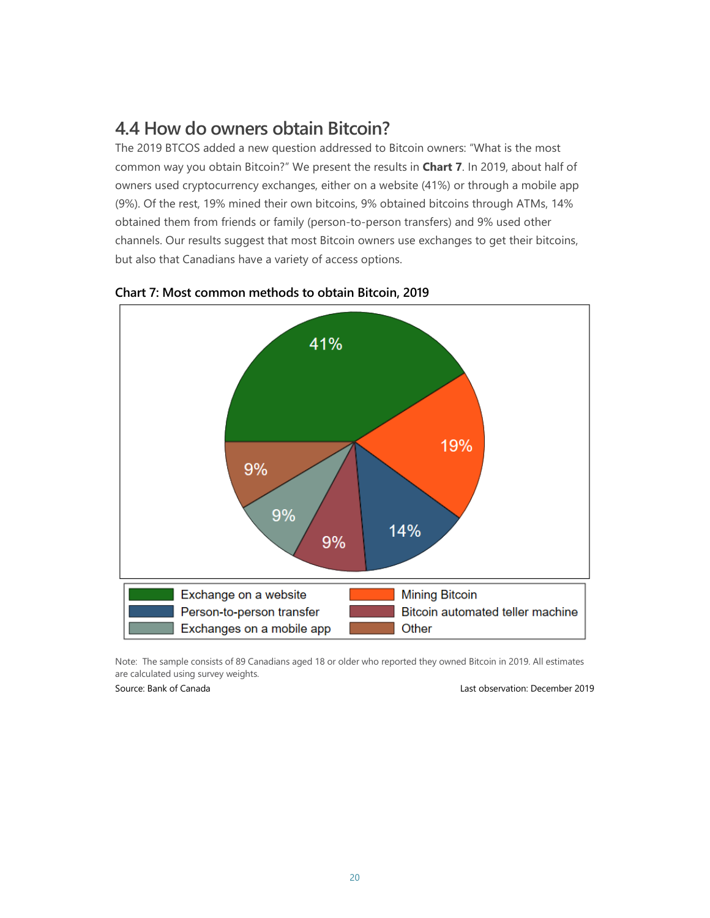### **4.4 How do owners obtain Bitcoin?**

The 2019 BTCOS added a new question addressed to Bitcoin owners: "What is the most common way you obtain Bitcoin?" We present the results in **Chart 7**. In 2019, about half of owners used cryptocurrency exchanges, either on a website (41%) or through a mobile app (9%). Of the rest, 19% mined their own bitcoins, 9% obtained bitcoins through ATMs, 14% obtained them from friends or family (person-to-person transfers) and 9% used other channels. Our results suggest that most Bitcoin owners use exchanges to get their bitcoins, but also that Canadians have a variety of access options.



#### **Chart 7: Most common methods to obtain Bitcoin, 2019**

Note: The sample consists of 89 Canadians aged 18 or older who reported they owned Bitcoin in 2019. All estimates are calculated using survey weights.

Source: Bank of Canada Last observation: December 2019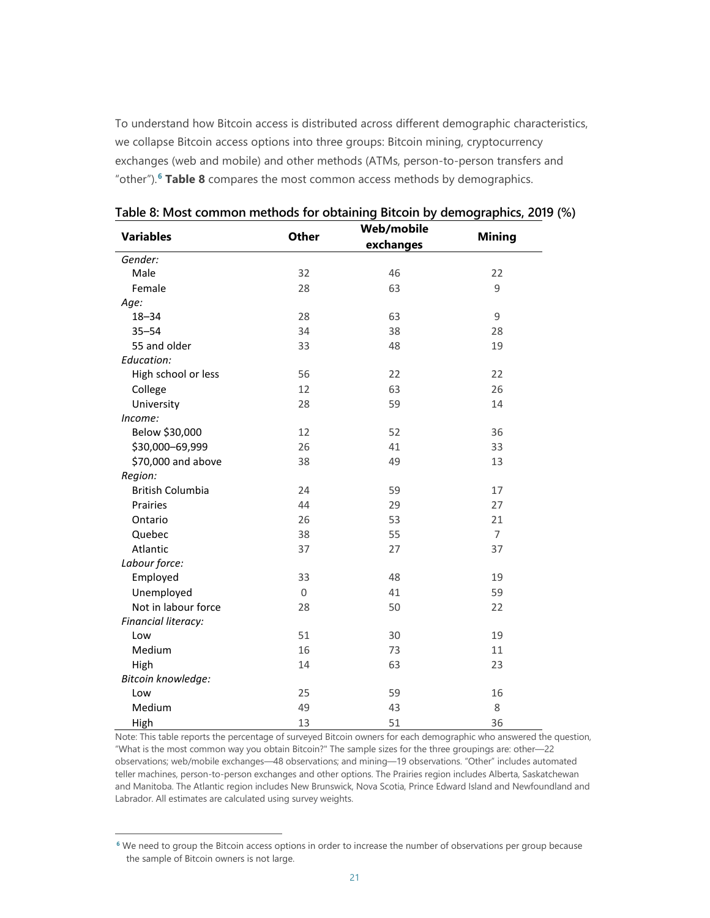To understand how Bitcoin access is distributed across different demographic characteristics, we collapse Bitcoin access options into three groups: Bitcoin mining, cryptocurrency exchanges (web and mobile) and other methods (ATMs, person-to-person transfers and "other").**[6](#page-23-0) Table 8** compares the most common access methods by demographics.

| <b>Variables</b>        | <b>Other</b> | Web/mobile | <b>Mining</b>  |  |
|-------------------------|--------------|------------|----------------|--|
|                         |              | exchanges  |                |  |
| Gender:                 |              |            |                |  |
| Male                    | 32           | 46         | 22             |  |
| Female                  | 28           | 63         | 9              |  |
| Age:                    |              |            |                |  |
| $18 - 34$               | 28           | 63         | 9              |  |
| $35 - 54$               | 34           | 38         | 28             |  |
| 55 and older            | 33           | 48         | 19             |  |
| Education:              |              |            |                |  |
| High school or less     | 56           | 22         | 22             |  |
| College                 | 12           | 63         | 26             |  |
| University              | 28           | 59         | 14             |  |
| Income:                 |              |            |                |  |
| Below \$30,000          | 12           | 52         | 36             |  |
| \$30,000-69,999         | 26           | 41         | 33             |  |
| \$70,000 and above      | 38           | 49         | 13             |  |
| Region:                 |              |            |                |  |
| <b>British Columbia</b> | 24           | 59         | 17             |  |
| <b>Prairies</b>         | 44           | 29         | 27             |  |
| Ontario                 | 26           | 53         | 21             |  |
| Quebec                  | 38           | 55         | $\overline{7}$ |  |
| Atlantic                | 37           | 27         | 37             |  |
| Labour force:           |              |            |                |  |
| Employed                | 33           | 48         | 19             |  |
| Unemployed              | $\Omega$     | 41         | 59             |  |
| Not in labour force     | 28           | 50         | 22             |  |
| Financial literacy:     |              |            |                |  |
| Low                     | 51           | 30         | 19             |  |
| Medium                  | 16           | 73         | 11             |  |
| High                    | 14           | 63         | 23             |  |
| Bitcoin knowledge:      |              |            |                |  |
| Low                     | 25           | 59         | 16             |  |
| Medium                  | 49           | 43         | 8              |  |
| High                    | 13           | 51         | 36             |  |

**Table 8: Most common methods for obtaining Bitcoin by demographics, 2019 (%)**

Note: This table reports the percentage of surveyed Bitcoin owners for each demographic who answered the question, "What is the most common way you obtain Bitcoin?" The sample sizes for the three groupings are: other—22 observations; web/mobile exchanges—48 observations; and mining—19 observations. "Other" includes automated teller machines, person-to-person exchanges and other options. The Prairies region includes Alberta, Saskatchewan and Manitoba. The Atlantic region includes New Brunswick, Nova Scotia, Prince Edward Island and Newfoundland and Labrador. All estimates are calculated using survey weights.

<span id="page-23-0"></span>**<sup>6</sup>** We need to group the Bitcoin access options in order to increase the number of observations per group because the sample of Bitcoin owners is not large.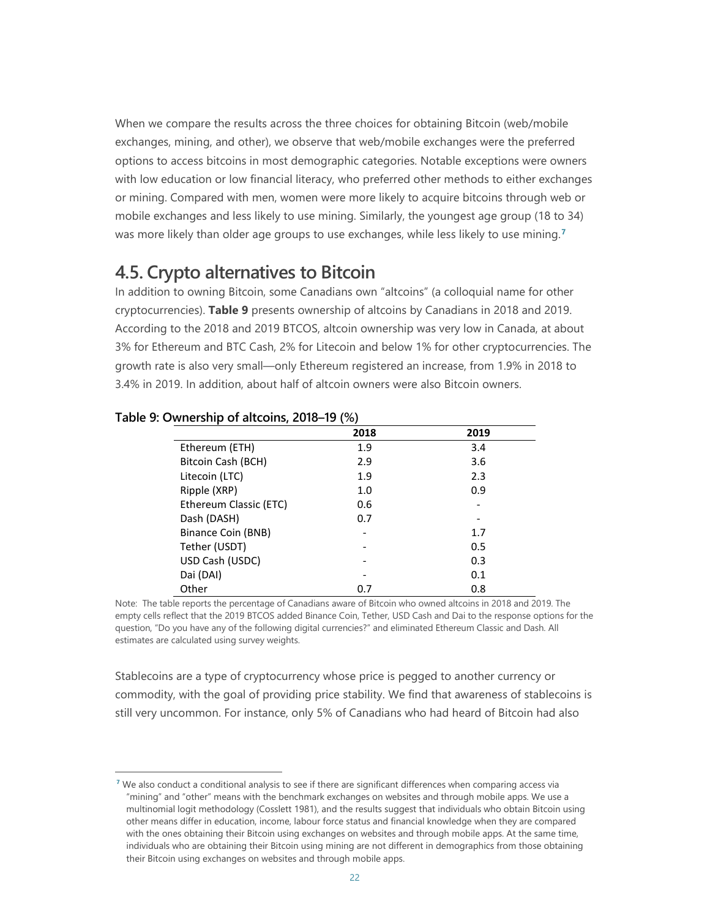When we compare the results across the three choices for obtaining Bitcoin (web/mobile exchanges, mining, and other), we observe that web/mobile exchanges were the preferred options to access bitcoins in most demographic categories. Notable exceptions were owners with low education or low financial literacy, who preferred other methods to either exchanges or mining. Compared with men, women were more likely to acquire bitcoins through web or mobile exchanges and less likely to use mining. Similarly, the youngest age group (18 to 34) was more likely than older age groups to use exchanges, while less likely to use mining.**[7](#page-24-0)**

### **4.5. Crypto alternatives to Bitcoin**

In addition to owning Bitcoin, some Canadians own "altcoins" (a colloquial name for other cryptocurrencies). **Table 9** presents ownership of altcoins by Canadians in 2018 and 2019. According to the 2018 and 2019 BTCOS, altcoin ownership was very low in Canada, at about 3% for Ethereum and BTC Cash, 2% for Litecoin and below 1% for other cryptocurrencies. The growth rate is also very small—only Ethereum registered an increase, from 1.9% in 2018 to 3.4% in 2019. In addition, about half of altcoin owners were also Bitcoin owners.

|                        | 2018 | 2019 |
|------------------------|------|------|
| Ethereum (ETH)         | 1.9  | 3.4  |
| Bitcoin Cash (BCH)     | 2.9  | 3.6  |
| Litecoin (LTC)         | 1.9  | 2.3  |
| Ripple (XRP)           | 1.0  | 0.9  |
| Ethereum Classic (ETC) | 0.6  |      |
| Dash (DASH)            | 0.7  |      |
| Binance Coin (BNB)     |      | 1.7  |
| Tether (USDT)          |      | 0.5  |
| USD Cash (USDC)        |      | 0.3  |
| Dai (DAI)              |      | 0.1  |
| Other                  | 0.7  | 0.8  |

#### **Table 9: Ownership of altcoins, 2018–19 (%)**

Note: The table reports the percentage of Canadians aware of Bitcoin who owned altcoins in 2018 and 2019. The empty cells reflect that the 2019 BTCOS added Binance Coin, Tether, USD Cash and Dai to the response options for the question, "Do you have any of the following digital currencies?" and eliminated Ethereum Classic and Dash. All estimates are calculated using survey weights.

Stablecoins are a type of cryptocurrency whose price is pegged to another currency or commodity, with the goal of providing price stability. We find that awareness of stablecoins is still very uncommon. For instance, only 5% of Canadians who had heard of Bitcoin had also

<span id="page-24-0"></span>**<sup>7</sup>** We also conduct a conditional analysis to see if there are significant differences when comparing access via "mining" and "other" means with the benchmark exchanges on websites and through mobile apps. We use a multinomial logit methodology (Cosslett 1981), and the results suggest that individuals who obtain Bitcoin using other means differ in education, income, labour force status and financial knowledge when they are compared with the ones obtaining their Bitcoin using exchanges on websites and through mobile apps. At the same time, individuals who are obtaining their Bitcoin using mining are not different in demographics from those obtaining their Bitcoin using exchanges on websites and through mobile apps.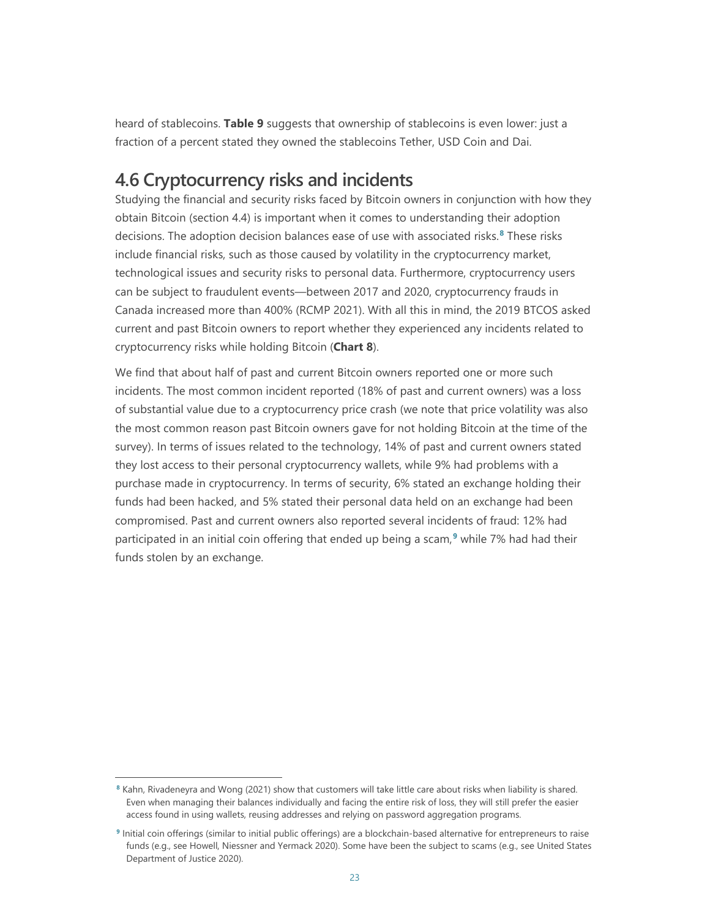heard of stablecoins. **Table 9** suggests that ownership of stablecoins is even lower: just a fraction of a percent stated they owned the stablecoins Tether, USD Coin and Dai.

### **4.6 Cryptocurrency risks and incidents**

Studying the financial and security risks faced by Bitcoin owners in conjunction with how they obtain Bitcoin (section 4.4) is important when it comes to understanding their adoption decisions. The adoption decision balances ease of use with associated risks.**[8](#page-25-0)** These risks include financial risks, such as those caused by volatility in the cryptocurrency market, technological issues and security risks to personal data. Furthermore, cryptocurrency users can be subject to fraudulent events—between 2017 and 2020, cryptocurrency frauds in Canada increased more than 400% (RCMP 2021). With all this in mind, the 2019 BTCOS asked current and past Bitcoin owners to report whether they experienced any incidents related to cryptocurrency risks while holding Bitcoin (**Chart 8**).

We find that about half of past and current Bitcoin owners reported one or more such incidents. The most common incident reported (18% of past and current owners) was a loss of substantial value due to a cryptocurrency price crash (we note that price volatility was also the most common reason past Bitcoin owners gave for not holding Bitcoin at the time of the survey). In terms of issues related to the technology, 14% of past and current owners stated they lost access to their personal cryptocurrency wallets, while 9% had problems with a purchase made in cryptocurrency. In terms of security, 6% stated an exchange holding their funds had been hacked, and 5% stated their personal data held on an exchange had been compromised. Past and current owners also reported several incidents of fraud: 12% had participated in an initial coin offering that ended up being a scam,**[9](#page-25-1)** while 7% had had their funds stolen by an exchange.

<span id="page-25-0"></span>**<sup>8</sup>** Kahn, Rivadeneyra and Wong (2021) show that customers will take little care about risks when liability is shared. Even when managing their balances individually and facing the entire risk of loss, they will still prefer the easier access found in using wallets, reusing addresses and relying on password aggregation programs.

<span id="page-25-1"></span>**<sup>9</sup>** Initial coin offerings (similar to initial public offerings) are a blockchain-based alternative for entrepreneurs to raise funds (e.g., see Howell, Niessner and Yermack 2020). Some have been the subject to scams (e.g., see United States Department of Justice 2020).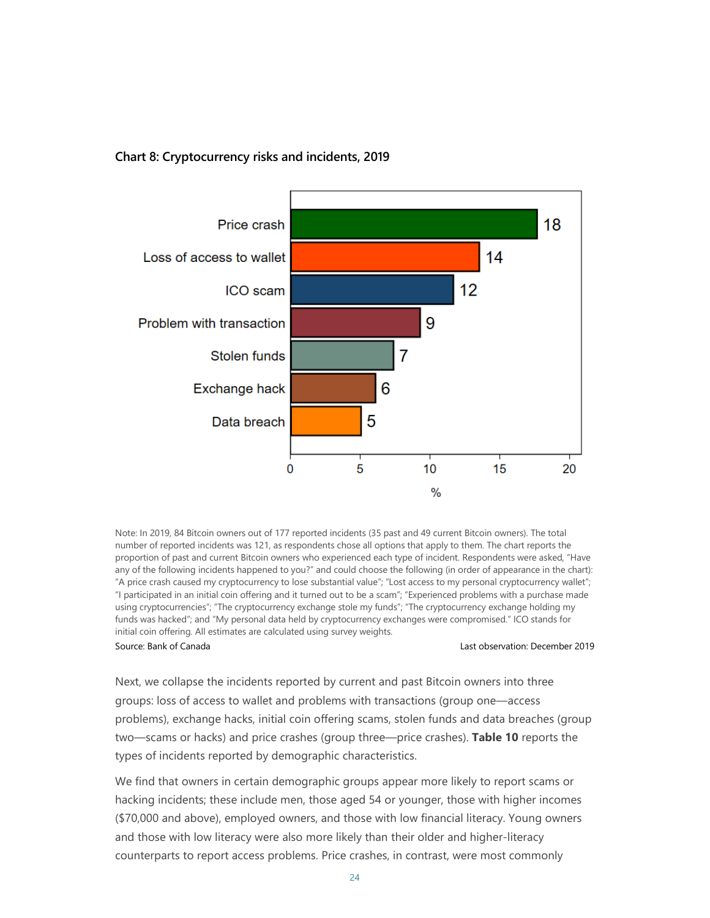



Note: In 2019, 84 Bitcoin owners out of 177 reported incidents (35 past and 49 current Bitcoin owners). The total number of reported incidents was 121, as respondents chose all options that apply to them. The chart reports the proportion of past and current Bitcoin owners who experienced each type of incident. Respondents were asked, "Have any of the following incidents happened to you?" and could choose the following (in order of appearance in the chart): "A price crash caused my cryptocurrency to lose substantial value"; "Lost access to my personal cryptocurrency wallet"; "I participated in an initial coin offering and it turned out to be a scam"; "Experienced problems with a purchase made using cryptocurrencies"; "The cryptocurrency exchange stole my funds"; "The cryptocurrency exchange holding my funds was hacked"; and "My personal data held by cryptocurrency exchanges were compromised." ICO stands for initial coin offering. All estimates are calculated using survey weights.

Source: Bank of Canada Last observation: December 2019

Next, we collapse the incidents reported by current and past Bitcoin owners into three groups: loss of access to wallet and problems with transactions (group one—access problems), exchange hacks, initial coin offering scams, stolen funds and data breaches (group two—scams or hacks) and price crashes (group three—price crashes). **Table 10** reports the types of incidents reported by demographic characteristics.

We find that owners in certain demographic groups appear more likely to report scams or hacking incidents; these include men, those aged 54 or younger, those with higher incomes (\$70,000 and above), employed owners, and those with low financial literacy. Young owners and those with low literacy were also more likely than their older and higher-literacy counterparts to report access problems. Price crashes, in contrast, were most commonly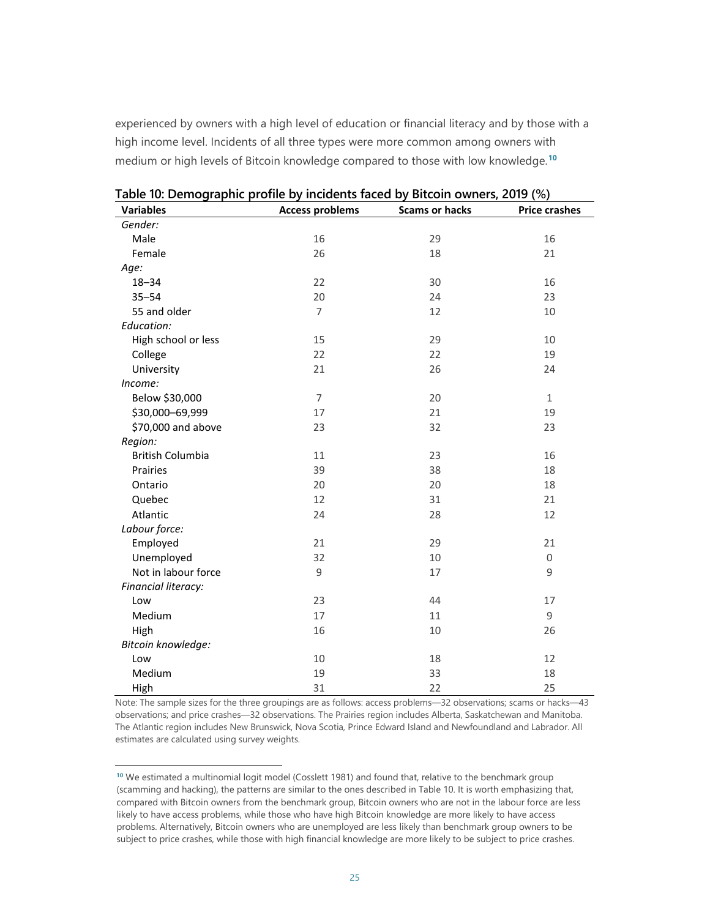experienced by owners with a high level of education or financial literacy and by those with a high income level. Incidents of all three types were more common among owners with medium or high levels of Bitcoin knowledge compared to those with low knowledge. **[10](#page-27-0)**

| <b>Variables</b>        | <b>Access problems</b> | <b>Scams or hacks</b> | <b>Price crashes</b> |
|-------------------------|------------------------|-----------------------|----------------------|
| Gender:                 |                        |                       |                      |
| Male                    | 16                     | 29                    | 16                   |
| Female                  | 26                     | 18                    | 21                   |
| Age:                    |                        |                       |                      |
| $18 - 34$               | 22                     | 30                    | 16                   |
| $35 - 54$               | 20                     | 24                    | 23                   |
| 55 and older            | 7                      | 12                    | 10                   |
| Education:              |                        |                       |                      |
| High school or less     | 15                     | 29                    | 10                   |
| College                 | 22                     | 22                    | 19                   |
| University              | 21                     | 26                    | 24                   |
| Income:                 |                        |                       |                      |
| Below \$30,000          | $\overline{7}$         | 20                    | $\mathbf{1}$         |
| \$30,000-69,999         | 17                     | 21                    | 19                   |
| \$70,000 and above      | 23                     | 32                    | 23                   |
| Region:                 |                        |                       |                      |
| <b>British Columbia</b> | 11                     | 23                    | 16                   |
| Prairies                | 39                     | 38                    | 18                   |
| Ontario                 | 20                     | 20                    | 18                   |
| Quebec                  | 12                     | 31                    | 21                   |
| Atlantic                | 24                     | 28                    | 12                   |
| Labour force:           |                        |                       |                      |
| Employed                | 21                     | 29                    | 21                   |
| Unemployed              | 32                     | 10                    | 0                    |
| Not in labour force     | 9                      | 17                    | 9                    |
| Financial literacy:     |                        |                       |                      |
| Low                     | 23                     | 44                    | 17                   |
| Medium                  | 17                     | 11                    | 9                    |
| High                    | 16                     | 10                    | 26                   |
| Bitcoin knowledge:      |                        |                       |                      |
| Low                     | 10                     | 18                    | 12                   |
| Medium                  | 19                     | 33                    | 18                   |
| High                    | 31                     | 22                    | 25                   |

**Table 10: Demographic profile by incidents faced by Bitcoin owners, 2019 (%)**

Note: The sample sizes for the three groupings are as follows: access problems—32 observations; scams or hacks—43 observations; and price crashes—32 observations. The Prairies region includes Alberta, Saskatchewan and Manitoba. The Atlantic region includes New Brunswick, Nova Scotia, Prince Edward Island and Newfoundland and Labrador. All estimates are calculated using survey weights.

<span id="page-27-0"></span><sup>&</sup>lt;sup>10</sup> We estimated a multinomial logit model (Cosslett 1981) and found that, relative to the benchmark group (scamming and hacking), the patterns are similar to the ones described in Table 10. It is worth emphasizing that, compared with Bitcoin owners from the benchmark group, Bitcoin owners who are not in the labour force are less likely to have access problems, while those who have high Bitcoin knowledge are more likely to have access problems. Alternatively, Bitcoin owners who are unemployed are less likely than benchmark group owners to be subject to price crashes, while those with high financial knowledge are more likely to be subject to price crashes.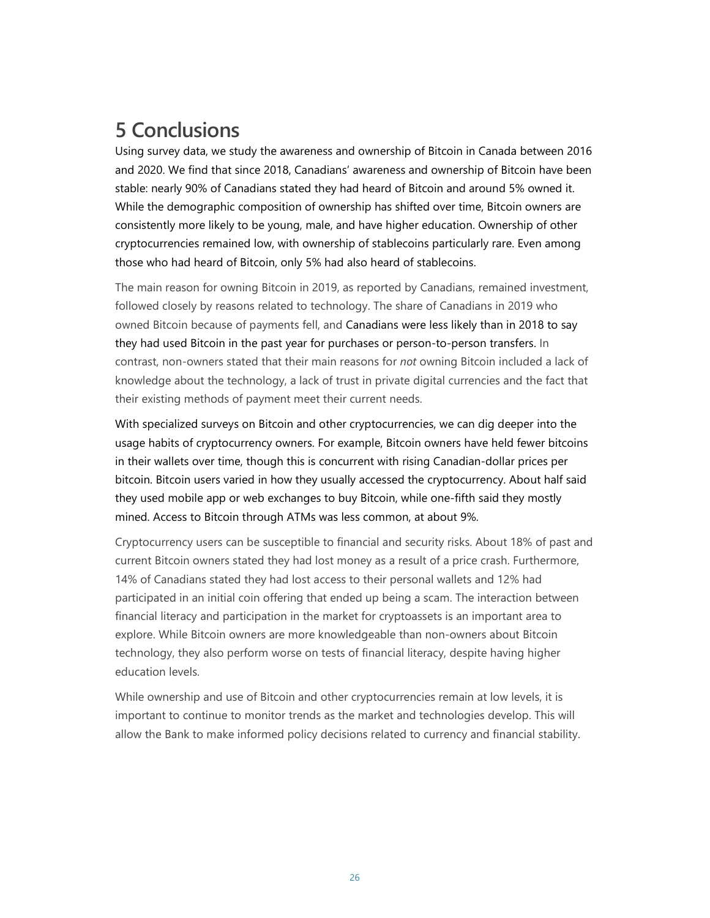# **5 Conclusions**

Using survey data, we study the awareness and ownership of Bitcoin in Canada between 2016 and 2020. We find that since 2018, Canadians' awareness and ownership of Bitcoin have been stable: nearly 90% of Canadians stated they had heard of Bitcoin and around 5% owned it. While the demographic composition of ownership has shifted over time, Bitcoin owners are consistently more likely to be young, male, and have higher education. Ownership of other cryptocurrencies remained low, with ownership of stablecoins particularly rare. Even among those who had heard of Bitcoin, only 5% had also heard of stablecoins.

The main reason for owning Bitcoin in 2019, as reported by Canadians, remained investment, followed closely by reasons related to technology. The share of Canadians in 2019 who owned Bitcoin because of payments fell, and Canadians were less likely than in 2018 to say they had used Bitcoin in the past year for purchases or person-to-person transfers. In contrast, non-owners stated that their main reasons for *not* owning Bitcoin included a lack of knowledge about the technology, a lack of trust in private digital currencies and the fact that their existing methods of payment meet their current needs.

With specialized surveys on Bitcoin and other cryptocurrencies, we can dig deeper into the usage habits of cryptocurrency owners. For example, Bitcoin owners have held fewer bitcoins in their wallets over time, though this is concurrent with rising Canadian-dollar prices per bitcoin. Bitcoin users varied in how they usually accessed the cryptocurrency. About half said they used mobile app or web exchanges to buy Bitcoin, while one-fifth said they mostly mined. Access to Bitcoin through ATMs was less common, at about 9%.

Cryptocurrency users can be susceptible to financial and security risks. About 18% of past and current Bitcoin owners stated they had lost money as a result of a price crash. Furthermore, 14% of Canadians stated they had lost access to their personal wallets and 12% had participated in an initial coin offering that ended up being a scam. The interaction between financial literacy and participation in the market for cryptoassets is an important area to explore. While Bitcoin owners are more knowledgeable than non-owners about Bitcoin technology, they also perform worse on tests of financial literacy, despite having higher education levels.

While ownership and use of Bitcoin and other cryptocurrencies remain at low levels, it is important to continue to monitor trends as the market and technologies develop. This will allow the Bank to make informed policy decisions related to currency and financial stability.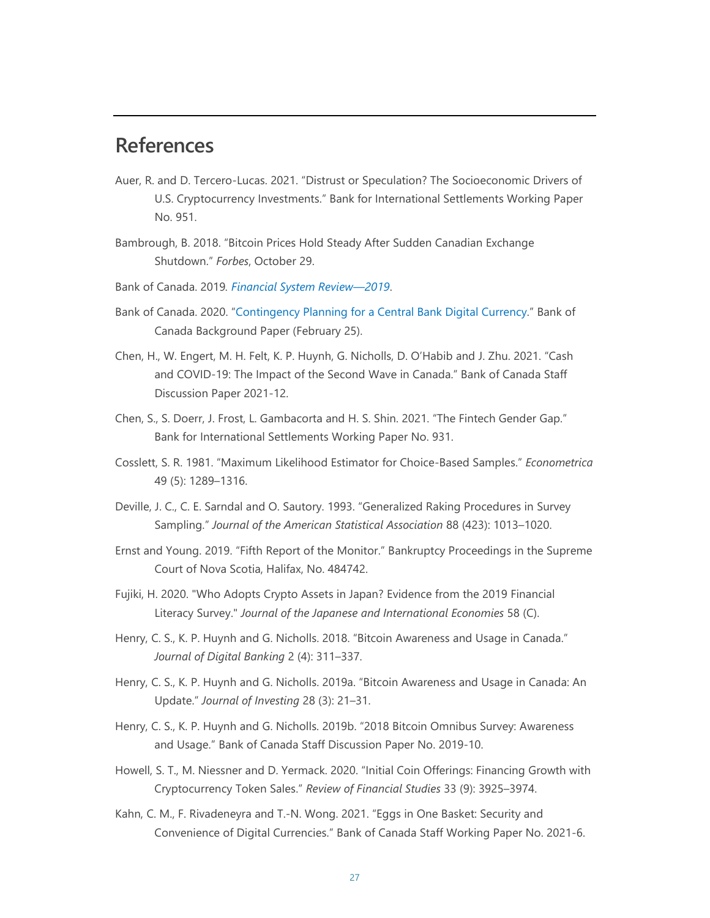## **References**

- Auer, R. and D. Tercero-Lucas. 2021. "Distrust or Speculation? The Socioeconomic Drivers of U.S. Cryptocurrency Investments." Bank for International Settlements Working Paper No. 951.
- Bambrough, B. 2018. "Bitcoin Prices Hold Steady After Sudden Canadian Exchange Shutdown." *Forbes*, October 29.
- Bank of Canada. 2019*. [Financial System Review—2019](https://www.bankofcanada.ca/2019/05/financial-system-review-2019)*.
- Bank of Canada. 2020. ["Contingency Planning for a Central Bank Digital Currency."](https://www.bankofcanada.ca/2020/02/contingency-planning-central-bank-digital-currency/) Bank of Canada Background Paper (February 25).
- Chen, H., W. Engert, M. H. Felt, K. P. Huynh, G. Nicholls, D. O'Habib and J. Zhu. 2021. "Cash and COVID-19: The Impact of the Second Wave in Canada." Bank of Canada Staff Discussion Paper 2021-12.
- Chen, S., S. Doerr, J. Frost, L. Gambacorta and H. S. Shin. 2021. "The Fintech Gender Gap." Bank for International Settlements Working Paper No. 931.
- Cosslett, S. R. 1981. "Maximum Likelihood Estimator for Choice-Based Samples." *Econometrica* 49 (5): 1289–1316.
- Deville, J. C., C. E. Sarndal and O. Sautory. 1993. "Generalized Raking Procedures in Survey Sampling." *Journal of the American Statistical Association* 88 (423): 1013–1020.
- Ernst and Young. 2019. "Fifth Report of the Monitor." Bankruptcy Proceedings in the Supreme Court of Nova Scotia, Halifax, No. 484742.
- Fujiki, H. 2020. "Who Adopts Crypto Assets in Japan? Evidence from the 2019 Financial Literacy Survey." *Journal of the Japanese and International Economies* 58 (C).
- Henry, C. S., K. P. Huynh and G. Nicholls. 2018. "Bitcoin Awareness and Usage in Canada." *Journal of Digital Banking* 2 (4): 311–337.
- Henry, C. S., K. P. Huynh and G. Nicholls. 2019a. "Bitcoin Awareness and Usage in Canada: An Update." *Journal of Investing* 28 (3): 21–31.
- Henry, C. S., K. P. Huynh and G. Nicholls. 2019b. "2018 Bitcoin Omnibus Survey: Awareness and Usage." Bank of Canada Staff Discussion Paper No. 2019-10.
- Howell, S. T., M. Niessner and D. Yermack. 2020. "Initial Coin Offerings: Financing Growth with Cryptocurrency Token Sales." *Review of Financial Studies* 33 (9): 3925–3974.
- Kahn, C. M., F. Rivadeneyra and T.-N. Wong. 2021. "Eggs in One Basket: Security and Convenience of Digital Currencies." Bank of Canada Staff Working Paper No. 2021-6.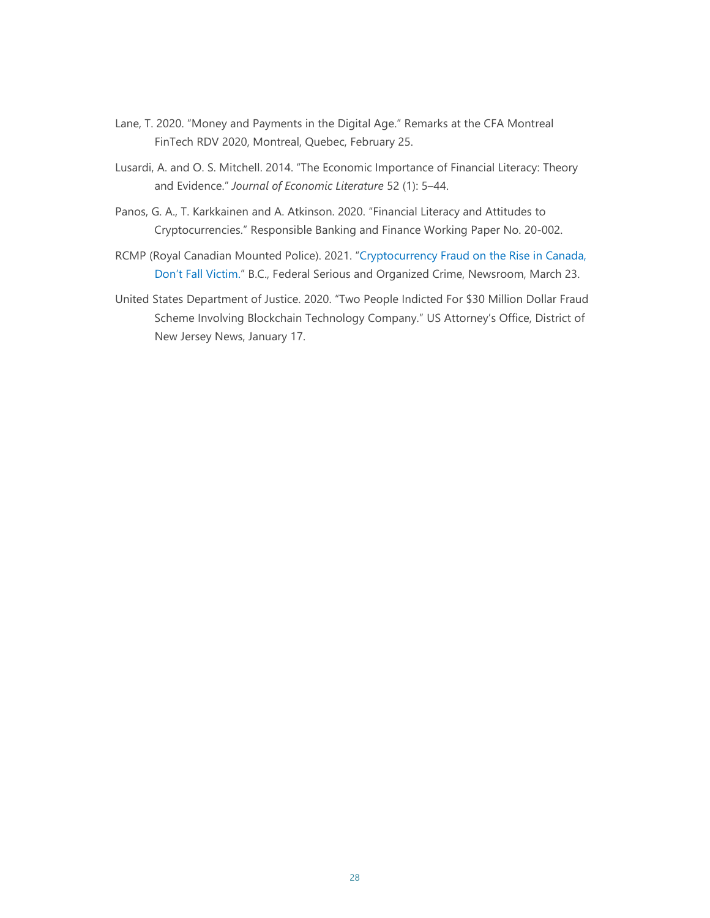- Lane, T. 2020. "Money and Payments in the Digital Age." Remarks at the CFA Montreal FinTech RDV 2020, Montreal, Quebec, February 25.
- Lusardi, A. and O. S. Mitchell. 2014. "The Economic Importance of Financial Literacy: Theory and Evidence." *Journal of Economic Literature* 52 (1): 5–44.
- Panos, G. A., T. Karkkainen and A. Atkinson. 2020. "Financial Literacy and Attitudes to Cryptocurrencies." Responsible Banking and Finance Working Paper No. 20-002.
- RCMP (Royal Canadian Mounted Police). 2021. ["Cryptocurrency Fraud on the Rise in Canada,](https://bc-cb.rcmp-grc.gc.ca/ViewPage.action?siteNodeId=2087&languageId=1&contentId=68723)  [Don't Fall Victim."](https://bc-cb.rcmp-grc.gc.ca/ViewPage.action?siteNodeId=2087&languageId=1&contentId=68723) B.C., Federal Serious and Organized Crime, Newsroom, March 23.
- United States Department of Justice. 2020. "Two People Indicted For \$30 Million Dollar Fraud Scheme Involving Blockchain Technology Company." US Attorney's Office, District of New Jersey News, January 17.